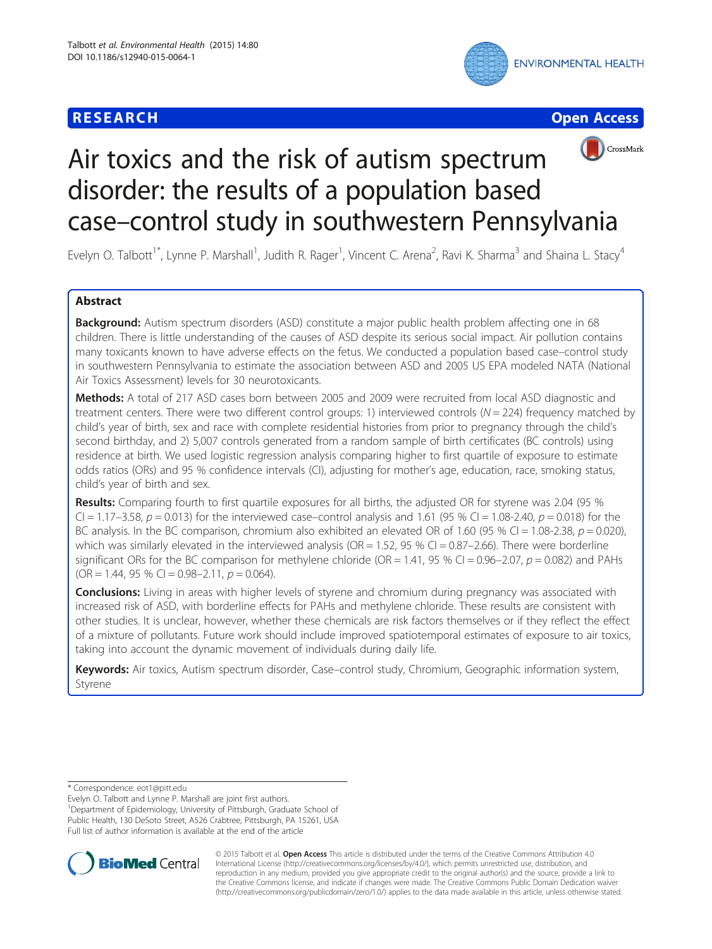# **RESEARCH CHEAR CHEAR CHEAR CHEAR CHEAR CHEAR CHEAR CHEAR CHEAR CHEAR CHEAR CHEAR CHEAR CHEAR CHEAR CHEAR CHEAR**







# Air toxics and the risk of autism spectrum disorder: the results of a population based case–control study in southwestern Pennsylvania

Evelyn O. Talbott<sup>1\*</sup>, Lynne P. Marshall<sup>1</sup>, Judith R. Rager<sup>1</sup>, Vincent C. Arena<sup>2</sup>, Ravi K. Sharma<sup>3</sup> and Shaina L. Stacy<sup>4</sup>

# Abstract

Background: Autism spectrum disorders (ASD) constitute a major public health problem affecting one in 68 children. There is little understanding of the causes of ASD despite its serious social impact. Air pollution contains many toxicants known to have adverse effects on the fetus. We conducted a population based case–control study in southwestern Pennsylvania to estimate the association between ASD and 2005 US EPA modeled NATA (National Air Toxics Assessment) levels for 30 neurotoxicants.

Methods: A total of 217 ASD cases born between 2005 and 2009 were recruited from local ASD diagnostic and treatment centers. There were two different control groups: 1) interviewed controls ( $N = 224$ ) frequency matched by child's year of birth, sex and race with complete residential histories from prior to pregnancy through the child's second birthday, and 2) 5,007 controls generated from a random sample of birth certificates (BC controls) using residence at birth. We used logistic regression analysis comparing higher to first quartile of exposure to estimate odds ratios (ORs) and 95 % confidence intervals (CI), adjusting for mother's age, education, race, smoking status, child's year of birth and sex.

Results: Comparing fourth to first quartile exposures for all births, the adjusted OR for styrene was 2.04 (95 % CI = 1.17–3.58,  $p = 0.013$ ) for the interviewed case–control analysis and 1.61 (95 % CI = 1.08-2.40,  $p = 0.018$ ) for the BC analysis. In the BC comparison, chromium also exhibited an elevated OR of 1.60 (95 % CI = 1.08-2.38,  $p = 0.020$ ), which was similarly elevated in the interviewed analysis (OR = 1.52, 95 % CI = 0.87-2.66). There were borderline significant ORs for the BC comparison for methylene chloride (OR = 1.41, 95 % CI = 0.96–2.07,  $p = 0.082$ ) and PAHs  $(OR = 1.44, 95 % CI = 0.98 - 2.11, p = 0.064).$ 

**Conclusions:** Living in areas with higher levels of styrene and chromium during pregnancy was associated with increased risk of ASD, with borderline effects for PAHs and methylene chloride. These results are consistent with other studies. It is unclear, however, whether these chemicals are risk factors themselves or if they reflect the effect of a mixture of pollutants. Future work should include improved spatiotemporal estimates of exposure to air toxics, taking into account the dynamic movement of individuals during daily life.

Keywords: Air toxics, Autism spectrum disorder, Case–control study, Chromium, Geographic information system, Styrene

\* Correspondence: [eot1@pitt.edu](mailto:eot1@pitt.edu)

Evelyn O. Talbott and Lynne P. Marshall are joint first authors. <sup>1</sup>Department of Epidemiology, University of Pittsburgh, Graduate School of Public Health, 130 DeSoto Street, A526 Crabtree, Pittsburgh, PA 15261, USA Full list of author information is available at the end of the article



© 2015 Talbott et al. Open Access This article is distributed under the terms of the Creative Commons Attribution 4.0 International License [\(http://creativecommons.org/licenses/by/4.0/](http://creativecommons.org/licenses/by/4.0/)), which permits unrestricted use, distribution, and reproduction in any medium, provided you give appropriate credit to the original author(s) and the source, provide a link to the Creative Commons license, and indicate if changes were made. The Creative Commons Public Domain Dedication waiver [\(http://creativecommons.org/publicdomain/zero/1.0/](http://creativecommons.org/publicdomain/zero/1.0/)) applies to the data made available in this article, unless otherwise stated.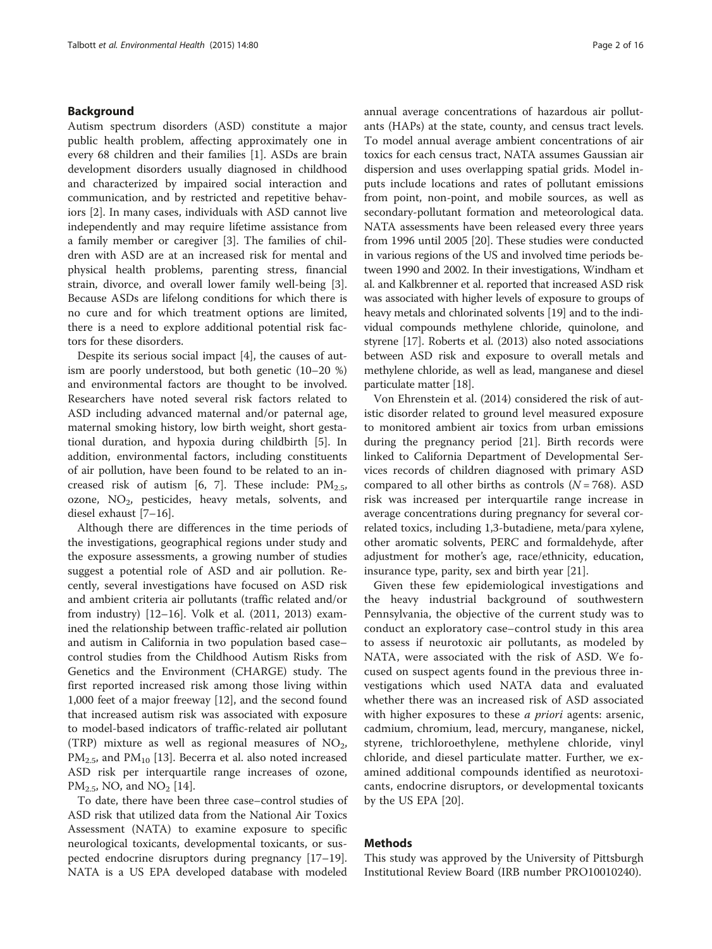#### Background

Autism spectrum disorders (ASD) constitute a major public health problem, affecting approximately one in every 68 children and their families [\[1](#page-14-0)]. ASDs are brain development disorders usually diagnosed in childhood and characterized by impaired social interaction and communication, and by restricted and repetitive behaviors [\[2\]](#page-14-0). In many cases, individuals with ASD cannot live independently and may require lifetime assistance from a family member or caregiver [[3\]](#page-14-0). The families of children with ASD are at an increased risk for mental and physical health problems, parenting stress, financial strain, divorce, and overall lower family well-being [\[3](#page-14-0)]. Because ASDs are lifelong conditions for which there is no cure and for which treatment options are limited, there is a need to explore additional potential risk factors for these disorders.

Despite its serious social impact [[4\]](#page-14-0), the causes of autism are poorly understood, but both genetic (10–20 %) and environmental factors are thought to be involved. Researchers have noted several risk factors related to ASD including advanced maternal and/or paternal age, maternal smoking history, low birth weight, short gestational duration, and hypoxia during childbirth [\[5](#page-14-0)]. In addition, environmental factors, including constituents of air pollution, have been found to be related to an in-creased risk of autism [[6, 7](#page-14-0)]. These include:  $PM_{2.5}$ , ozone,  $NO<sub>2</sub>$ , pesticides, heavy metals, solvents, and diesel exhaust [[7](#page-14-0)–[16](#page-14-0)].

Although there are differences in the time periods of the investigations, geographical regions under study and the exposure assessments, a growing number of studies suggest a potential role of ASD and air pollution. Recently, several investigations have focused on ASD risk and ambient criteria air pollutants (traffic related and/or from industry) [[12](#page-14-0)–[16\]](#page-14-0). Volk et al. (2011, 2013) examined the relationship between traffic-related air pollution and autism in California in two population based case– control studies from the Childhood Autism Risks from Genetics and the Environment (CHARGE) study. The first reported increased risk among those living within 1,000 feet of a major freeway [[12](#page-14-0)], and the second found that increased autism risk was associated with exposure to model-based indicators of traffic-related air pollutant (TRP) mixture as well as regional measures of  $NO<sub>2</sub>$ ,  $PM_{2.5}$ , and  $PM_{10}$  [[13\]](#page-14-0). Becerra et al. also noted increased ASD risk per interquartile range increases of ozone,  $PM_{2.5}$ , NO, and NO<sub>2</sub> [\[14](#page-14-0)].

To date, there have been three case–control studies of ASD risk that utilized data from the National Air Toxics Assessment (NATA) to examine exposure to specific neurological toxicants, developmental toxicants, or suspected endocrine disruptors during pregnancy [[17](#page-14-0)–[19](#page-14-0)]. NATA is a US EPA developed database with modeled

annual average concentrations of hazardous air pollutants (HAPs) at the state, county, and census tract levels. To model annual average ambient concentrations of air toxics for each census tract, NATA assumes Gaussian air dispersion and uses overlapping spatial grids. Model inputs include locations and rates of pollutant emissions from point, non-point, and mobile sources, as well as secondary-pollutant formation and meteorological data. NATA assessments have been released every three years from 1996 until 2005 [\[20](#page-14-0)]. These studies were conducted in various regions of the US and involved time periods between 1990 and 2002. In their investigations, Windham et al. and Kalkbrenner et al. reported that increased ASD risk was associated with higher levels of exposure to groups of heavy metals and chlorinated solvents [\[19\]](#page-14-0) and to the individual compounds methylene chloride, quinolone, and styrene [\[17\]](#page-14-0). Roberts et al. (2013) also noted associations between ASD risk and exposure to overall metals and methylene chloride, as well as lead, manganese and diesel particulate matter [[18](#page-14-0)].

Von Ehrenstein et al. (2014) considered the risk of autistic disorder related to ground level measured exposure to monitored ambient air toxics from urban emissions during the pregnancy period [\[21\]](#page-14-0). Birth records were linked to California Department of Developmental Services records of children diagnosed with primary ASD compared to all other births as controls  $(N = 768)$ . ASD risk was increased per interquartile range increase in average concentrations during pregnancy for several correlated toxics, including 1,3-butadiene, meta/para xylene, other aromatic solvents, PERC and formaldehyde, after adjustment for mother's age, race/ethnicity, education, insurance type, parity, sex and birth year [\[21](#page-14-0)].

Given these few epidemiological investigations and the heavy industrial background of southwestern Pennsylvania, the objective of the current study was to conduct an exploratory case–control study in this area to assess if neurotoxic air pollutants, as modeled by NATA, were associated with the risk of ASD. We focused on suspect agents found in the previous three investigations which used NATA data and evaluated whether there was an increased risk of ASD associated with higher exposures to these *a priori* agents: arsenic, cadmium, chromium, lead, mercury, manganese, nickel, styrene, trichloroethylene, methylene chloride, vinyl chloride, and diesel particulate matter. Further, we examined additional compounds identified as neurotoxicants, endocrine disruptors, or developmental toxicants by the US EPA [[20\]](#page-14-0).

## Methods

This study was approved by the University of Pittsburgh Institutional Review Board (IRB number PRO10010240).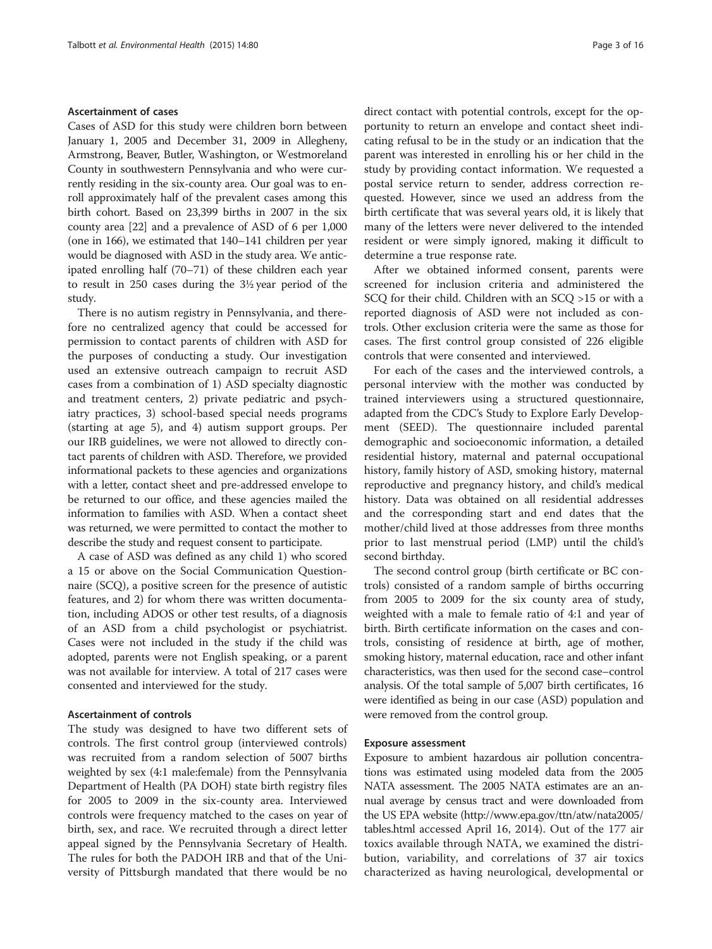#### Ascertainment of cases

Cases of ASD for this study were children born between January 1, 2005 and December 31, 2009 in Allegheny, Armstrong, Beaver, Butler, Washington, or Westmoreland County in southwestern Pennsylvania and who were currently residing in the six-county area. Our goal was to enroll approximately half of the prevalent cases among this birth cohort. Based on 23,399 births in 2007 in the six county area [[22](#page-14-0)] and a prevalence of ASD of 6 per 1,000 (one in 166), we estimated that 140–141 children per year would be diagnosed with ASD in the study area. We anticipated enrolling half (70–71) of these children each year to result in 250 cases during the 3½ year period of the study.

There is no autism registry in Pennsylvania, and therefore no centralized agency that could be accessed for permission to contact parents of children with ASD for the purposes of conducting a study. Our investigation used an extensive outreach campaign to recruit ASD cases from a combination of 1) ASD specialty diagnostic and treatment centers, 2) private pediatric and psychiatry practices, 3) school-based special needs programs (starting at age 5), and 4) autism support groups. Per our IRB guidelines, we were not allowed to directly contact parents of children with ASD. Therefore, we provided informational packets to these agencies and organizations with a letter, contact sheet and pre-addressed envelope to be returned to our office, and these agencies mailed the information to families with ASD. When a contact sheet was returned, we were permitted to contact the mother to describe the study and request consent to participate.

A case of ASD was defined as any child 1) who scored a 15 or above on the Social Communication Questionnaire (SCQ), a positive screen for the presence of autistic features, and 2) for whom there was written documentation, including ADOS or other test results, of a diagnosis of an ASD from a child psychologist or psychiatrist. Cases were not included in the study if the child was adopted, parents were not English speaking, or a parent was not available for interview. A total of 217 cases were consented and interviewed for the study.

# Ascertainment of controls

The study was designed to have two different sets of controls. The first control group (interviewed controls) was recruited from a random selection of 5007 births weighted by sex (4:1 male:female) from the Pennsylvania Department of Health (PA DOH) state birth registry files for 2005 to 2009 in the six-county area. Interviewed controls were frequency matched to the cases on year of birth, sex, and race. We recruited through a direct letter appeal signed by the Pennsylvania Secretary of Health. The rules for both the PADOH IRB and that of the University of Pittsburgh mandated that there would be no

direct contact with potential controls, except for the opportunity to return an envelope and contact sheet indicating refusal to be in the study or an indication that the parent was interested in enrolling his or her child in the study by providing contact information. We requested a postal service return to sender, address correction requested. However, since we used an address from the birth certificate that was several years old, it is likely that many of the letters were never delivered to the intended resident or were simply ignored, making it difficult to determine a true response rate.

After we obtained informed consent, parents were screened for inclusion criteria and administered the SCQ for their child. Children with an SCQ >15 or with a reported diagnosis of ASD were not included as controls. Other exclusion criteria were the same as those for cases. The first control group consisted of 226 eligible controls that were consented and interviewed.

For each of the cases and the interviewed controls, a personal interview with the mother was conducted by trained interviewers using a structured questionnaire, adapted from the CDC's Study to Explore Early Development (SEED). The questionnaire included parental demographic and socioeconomic information, a detailed residential history, maternal and paternal occupational history, family history of ASD, smoking history, maternal reproductive and pregnancy history, and child's medical history. Data was obtained on all residential addresses and the corresponding start and end dates that the mother/child lived at those addresses from three months prior to last menstrual period (LMP) until the child's second birthday.

The second control group (birth certificate or BC controls) consisted of a random sample of births occurring from 2005 to 2009 for the six county area of study, weighted with a male to female ratio of 4:1 and year of birth. Birth certificate information on the cases and controls, consisting of residence at birth, age of mother, smoking history, maternal education, race and other infant characteristics, was then used for the second case–control analysis. Of the total sample of 5,007 birth certificates, 16 were identified as being in our case (ASD) population and were removed from the control group.

#### Exposure assessment

Exposure to ambient hazardous air pollution concentrations was estimated using modeled data from the 2005 NATA assessment. The 2005 NATA estimates are an annual average by census tract and were downloaded from the US EPA website [\(http://www.epa.gov/ttn/atw/nata2005/](http://www.epa.gov/ttn/atw/nata2005/tables.html) [tables.html](http://www.epa.gov/ttn/atw/nata2005/tables.html) accessed April 16, 2014). Out of the 177 air toxics available through NATA, we examined the distribution, variability, and correlations of 37 air toxics characterized as having neurological, developmental or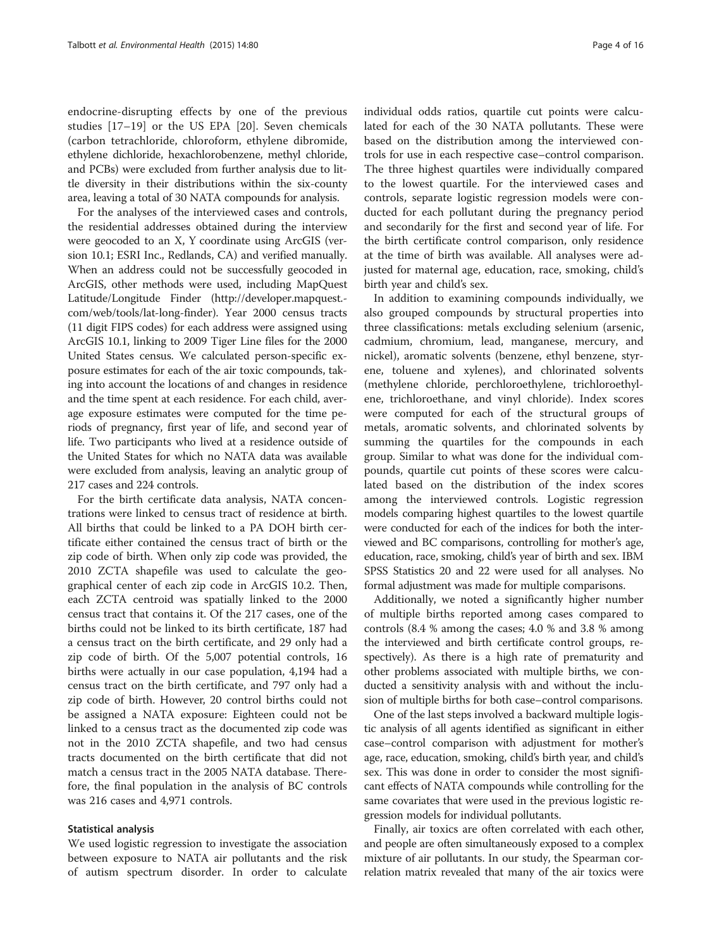endocrine-disrupting effects by one of the previous studies [\[17](#page-14-0)–[19](#page-14-0)] or the US EPA [[20\]](#page-14-0). Seven chemicals (carbon tetrachloride, chloroform, ethylene dibromide, ethylene dichloride, hexachlorobenzene, methyl chloride, and PCBs) were excluded from further analysis due to little diversity in their distributions within the six-county area, leaving a total of 30 NATA compounds for analysis.

For the analyses of the interviewed cases and controls, the residential addresses obtained during the interview were geocoded to an X, Y coordinate using ArcGIS (version 10.1; ESRI Inc., Redlands, CA) and verified manually. When an address could not be successfully geocoded in ArcGIS, other methods were used, including MapQuest Latitude/Longitude Finder ([http://developer.mapquest.](http://developer.mapquest.com/web/tools/lat-long-finder) [com/web/tools/lat-long-finder\)](http://developer.mapquest.com/web/tools/lat-long-finder). Year 2000 census tracts (11 digit FIPS codes) for each address were assigned using ArcGIS 10.1, linking to 2009 Tiger Line files for the 2000 United States census. We calculated person-specific exposure estimates for each of the air toxic compounds, taking into account the locations of and changes in residence and the time spent at each residence. For each child, average exposure estimates were computed for the time periods of pregnancy, first year of life, and second year of life. Two participants who lived at a residence outside of the United States for which no NATA data was available were excluded from analysis, leaving an analytic group of 217 cases and 224 controls.

For the birth certificate data analysis, NATA concentrations were linked to census tract of residence at birth. All births that could be linked to a PA DOH birth certificate either contained the census tract of birth or the zip code of birth. When only zip code was provided, the 2010 ZCTA shapefile was used to calculate the geographical center of each zip code in ArcGIS 10.2. Then, each ZCTA centroid was spatially linked to the 2000 census tract that contains it. Of the 217 cases, one of the births could not be linked to its birth certificate, 187 had a census tract on the birth certificate, and 29 only had a zip code of birth. Of the 5,007 potential controls, 16 births were actually in our case population, 4,194 had a census tract on the birth certificate, and 797 only had a zip code of birth. However, 20 control births could not be assigned a NATA exposure: Eighteen could not be linked to a census tract as the documented zip code was not in the 2010 ZCTA shapefile, and two had census tracts documented on the birth certificate that did not match a census tract in the 2005 NATA database. Therefore, the final population in the analysis of BC controls was 216 cases and 4,971 controls.

## Statistical analysis

We used logistic regression to investigate the association between exposure to NATA air pollutants and the risk of autism spectrum disorder. In order to calculate individual odds ratios, quartile cut points were calculated for each of the 30 NATA pollutants. These were based on the distribution among the interviewed controls for use in each respective case–control comparison. The three highest quartiles were individually compared to the lowest quartile. For the interviewed cases and controls, separate logistic regression models were conducted for each pollutant during the pregnancy period and secondarily for the first and second year of life. For the birth certificate control comparison, only residence at the time of birth was available. All analyses were adjusted for maternal age, education, race, smoking, child's birth year and child's sex.

In addition to examining compounds individually, we also grouped compounds by structural properties into three classifications: metals excluding selenium (arsenic, cadmium, chromium, lead, manganese, mercury, and nickel), aromatic solvents (benzene, ethyl benzene, styrene, toluene and xylenes), and chlorinated solvents (methylene chloride, perchloroethylene, trichloroethylene, trichloroethane, and vinyl chloride). Index scores were computed for each of the structural groups of metals, aromatic solvents, and chlorinated solvents by summing the quartiles for the compounds in each group. Similar to what was done for the individual compounds, quartile cut points of these scores were calculated based on the distribution of the index scores among the interviewed controls. Logistic regression models comparing highest quartiles to the lowest quartile were conducted for each of the indices for both the interviewed and BC comparisons, controlling for mother's age, education, race, smoking, child's year of birth and sex. IBM SPSS Statistics 20 and 22 were used for all analyses. No formal adjustment was made for multiple comparisons.

Additionally, we noted a significantly higher number of multiple births reported among cases compared to controls (8.4 % among the cases; 4.0 % and 3.8 % among the interviewed and birth certificate control groups, respectively). As there is a high rate of prematurity and other problems associated with multiple births, we conducted a sensitivity analysis with and without the inclusion of multiple births for both case–control comparisons.

One of the last steps involved a backward multiple logistic analysis of all agents identified as significant in either case–control comparison with adjustment for mother's age, race, education, smoking, child's birth year, and child's sex. This was done in order to consider the most significant effects of NATA compounds while controlling for the same covariates that were used in the previous logistic regression models for individual pollutants.

Finally, air toxics are often correlated with each other, and people are often simultaneously exposed to a complex mixture of air pollutants. In our study, the Spearman correlation matrix revealed that many of the air toxics were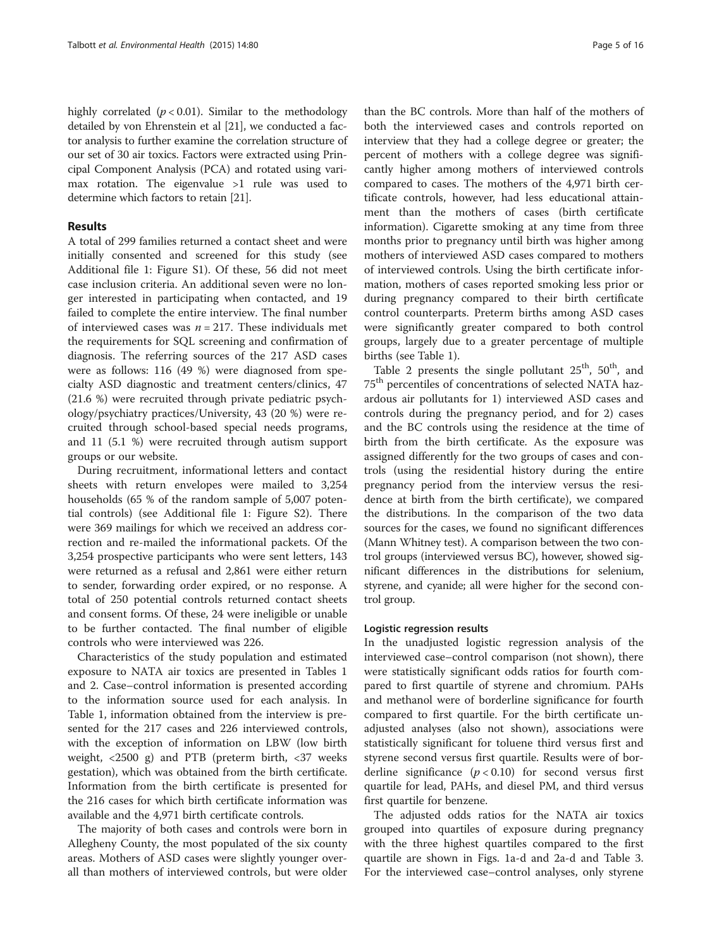highly correlated  $(p < 0.01)$ . Similar to the methodology detailed by von Ehrenstein et al [\[21\]](#page-14-0), we conducted a factor analysis to further examine the correlation structure of our set of 30 air toxics. Factors were extracted using Principal Component Analysis (PCA) and rotated using varimax rotation. The eigenvalue >1 rule was used to determine which factors to retain [[21](#page-14-0)].

# Results

A total of 299 families returned a contact sheet and were initially consented and screened for this study (see Additional file [1](#page-14-0): Figure S1). Of these, 56 did not meet case inclusion criteria. An additional seven were no longer interested in participating when contacted, and 19 failed to complete the entire interview. The final number of interviewed cases was  $n = 217$ . These individuals met the requirements for SQL screening and confirmation of diagnosis. The referring sources of the 217 ASD cases were as follows: 116 (49 %) were diagnosed from specialty ASD diagnostic and treatment centers/clinics, 47 (21.6 %) were recruited through private pediatric psychology/psychiatry practices/University, 43 (20 %) were recruited through school-based special needs programs, and 11 (5.1 %) were recruited through autism support groups or our website.

During recruitment, informational letters and contact sheets with return envelopes were mailed to 3,254 households (65 % of the random sample of 5,007 potential controls) (see Additional file [1:](#page-14-0) Figure S2). There were 369 mailings for which we received an address correction and re-mailed the informational packets. Of the 3,254 prospective participants who were sent letters, 143 were returned as a refusal and 2,861 were either return to sender, forwarding order expired, or no response. A total of 250 potential controls returned contact sheets and consent forms. Of these, 24 were ineligible or unable to be further contacted. The final number of eligible controls who were interviewed was 226.

Characteristics of the study population and estimated exposure to NATA air toxics are presented in Tables [1](#page-5-0) and [2](#page-6-0). Case–control information is presented according to the information source used for each analysis. In Table [1](#page-5-0), information obtained from the interview is presented for the 217 cases and 226 interviewed controls, with the exception of information on LBW (low birth weight, <2500 g) and PTB (preterm birth, <37 weeks gestation), which was obtained from the birth certificate. Information from the birth certificate is presented for the 216 cases for which birth certificate information was available and the 4,971 birth certificate controls.

The majority of both cases and controls were born in Allegheny County, the most populated of the six county areas. Mothers of ASD cases were slightly younger overall than mothers of interviewed controls, but were older

than the BC controls. More than half of the mothers of both the interviewed cases and controls reported on interview that they had a college degree or greater; the percent of mothers with a college degree was significantly higher among mothers of interviewed controls compared to cases. The mothers of the 4,971 birth certificate controls, however, had less educational attainment than the mothers of cases (birth certificate information). Cigarette smoking at any time from three months prior to pregnancy until birth was higher among mothers of interviewed ASD cases compared to mothers of interviewed controls. Using the birth certificate information, mothers of cases reported smoking less prior or during pregnancy compared to their birth certificate control counterparts. Preterm births among ASD cases were significantly greater compared to both control groups, largely due to a greater percentage of multiple births (see Table [1](#page-5-0)).

Table [2](#page-6-0) presents the single pollutant  $25<sup>th</sup>$ ,  $50<sup>th</sup>$ , and 75th percentiles of concentrations of selected NATA hazardous air pollutants for 1) interviewed ASD cases and controls during the pregnancy period, and for 2) cases and the BC controls using the residence at the time of birth from the birth certificate. As the exposure was assigned differently for the two groups of cases and controls (using the residential history during the entire pregnancy period from the interview versus the residence at birth from the birth certificate), we compared the distributions. In the comparison of the two data sources for the cases, we found no significant differences (Mann Whitney test). A comparison between the two control groups (interviewed versus BC), however, showed significant differences in the distributions for selenium, styrene, and cyanide; all were higher for the second control group.

#### Logistic regression results

In the unadjusted logistic regression analysis of the interviewed case–control comparison (not shown), there were statistically significant odds ratios for fourth compared to first quartile of styrene and chromium. PAHs and methanol were of borderline significance for fourth compared to first quartile. For the birth certificate unadjusted analyses (also not shown), associations were statistically significant for toluene third versus first and styrene second versus first quartile. Results were of borderline significance  $(p < 0.10)$  for second versus first quartile for lead, PAHs, and diesel PM, and third versus first quartile for benzene.

The adjusted odds ratios for the NATA air toxics grouped into quartiles of exposure during pregnancy with the three highest quartiles compared to the first quartile are shown in Figs. [1a-d](#page-7-0) and [2a-d](#page-11-0) and Table [3](#page-8-0). For the interviewed case–control analyses, only styrene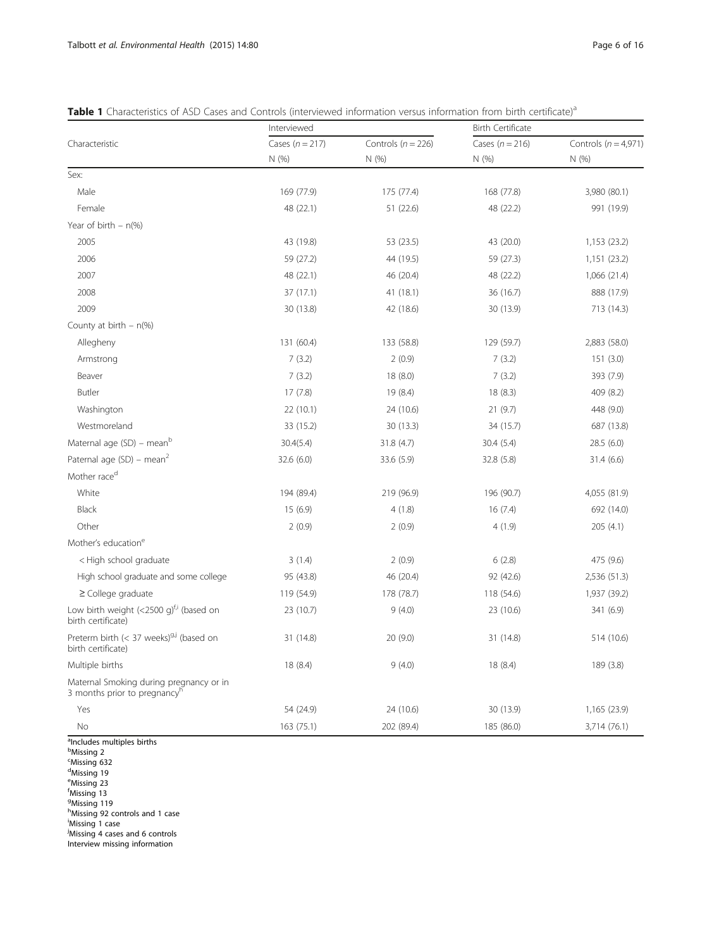<span id="page-5-0"></span>

|  | Table 1 Characteristics of ASD Cases and Controls (interviewed information versus information from birth certificate) <sup>a</sup> |
|--|------------------------------------------------------------------------------------------------------------------------------------|
|--|------------------------------------------------------------------------------------------------------------------------------------|

|                                                                                     | Interviewed       |                        | <b>Birth Certificate</b> |                          |  |  |
|-------------------------------------------------------------------------------------|-------------------|------------------------|--------------------------|--------------------------|--|--|
| Characteristic                                                                      | Cases $(n = 217)$ | Controls ( $n = 226$ ) | Cases ( $n = 216$ )      | Controls ( $n = 4,971$ ) |  |  |
|                                                                                     | N(% )             | N(% )                  | N(%)                     | N(%)                     |  |  |
| Sex:                                                                                |                   |                        |                          |                          |  |  |
| Male                                                                                | 169 (77.9)        | 175 (77.4)             | 168 (77.8)               | 3,980 (80.1)             |  |  |
| Female                                                                              | 48 (22.1)         | 51 (22.6)              | 48 (22.2)                | 991 (19.9)               |  |  |
| Year of birth $- n$ (%)                                                             |                   |                        |                          |                          |  |  |
| 2005                                                                                | 43 (19.8)         | 53 (23.5)              | 43 (20.0)                | 1,153 (23.2)             |  |  |
| 2006                                                                                | 59 (27.2)         | 44 (19.5)              | 59 (27.3)                | 1,151 (23.2)             |  |  |
| 2007                                                                                | 48 (22.1)         | 46 (20.4)              | 48 (22.2)                | 1,066 (21.4)             |  |  |
| 2008                                                                                | 37 (17.1)         | 41 (18.1)              | 36 (16.7)                | 888 (17.9)               |  |  |
| 2009                                                                                | 30 (13.8)         | 42 (18.6)              | 30 (13.9)                | 713 (14.3)               |  |  |
| County at birth $- n$ (%)                                                           |                   |                        |                          |                          |  |  |
| Allegheny                                                                           | 131 (60.4)        | 133 (58.8)             | 129 (59.7)               | 2,883 (58.0)             |  |  |
| Armstrong                                                                           | 7(3.2)            | 2(0.9)                 | 7(3.2)                   | 151(3.0)                 |  |  |
| Beaver                                                                              | 7(3.2)            | 18(8.0)                | 7(3.2)                   | 393 (7.9)                |  |  |
| Butler                                                                              | 17(7.8)           | 19 (8.4)               | 18(8.3)                  | 409 (8.2)                |  |  |
| Washington                                                                          | 22 (10.1)         | 24 (10.6)              | 21(9.7)                  | 448 (9.0)                |  |  |
| Westmoreland                                                                        | 33 (15.2)         | 30 (13.3)              | 34 (15.7)                | 687 (13.8)               |  |  |
| Maternal age (SD) - meanb                                                           | 30.4(5.4)         | 31.8 (4.7)             | 30.4(5.4)                | 28.5 (6.0)               |  |  |
| Paternal age $(SD)$ – mean <sup>2</sup>                                             | 32.6 (6.0)        | 33.6 (5.9)             | 32.8 (5.8)               | 31.4(6.6)                |  |  |
| Mother race <sup>d</sup>                                                            |                   |                        |                          |                          |  |  |
| White                                                                               | 194 (89.4)        | 219 (96.9)             | 196 (90.7)               | 4,055 (81.9)             |  |  |
| Black                                                                               | 15(6.9)           | 4(1.8)                 | 16(7.4)                  | 692 (14.0)               |  |  |
| Other                                                                               | 2(0.9)            | 2(0.9)                 | 4(1.9)                   | 205(4.1)                 |  |  |
| Mother's education <sup>e</sup>                                                     |                   |                        |                          |                          |  |  |
| < High school graduate                                                              | 3(1.4)            | 2(0.9)                 | 6(2.8)                   | 475 (9.6)                |  |  |
| High school graduate and some college                                               | 95 (43.8)         | 46 (20.4)              | 92 (42.6)                | 2,536 (51.3)             |  |  |
| $\geq$ College graduate                                                             | 119 (54.9)        | 178 (78.7)             | 118 (54.6)               | 1,937 (39.2)             |  |  |
| Low birth weight $(<2500 \text{ g})^{\text{t,i}}$ (based on<br>birth certificate)   | 23 (10.7)         | 9(4.0)                 | 23 (10.6)                | 341 (6.9)                |  |  |
| Preterm birth (< 37 weeks) <sup>9,j</sup> (based on<br>birth certificate)           | 31 (14.8)         | 20(9.0)                | 31 (14.8)                | 514 (10.6)               |  |  |
| Multiple births                                                                     | 18(8.4)           | 9(4.0)                 | 18(8.4)                  | 189 (3.8)                |  |  |
| Maternal Smoking during pregnancy or in<br>3 months prior to pregnancy <sup>n</sup> |                   |                        |                          |                          |  |  |
| Yes                                                                                 | 54 (24.9)         | 24 (10.6)              | 30 (13.9)                | 1,165 (23.9)             |  |  |
| <b>No</b>                                                                           | 163 (75.1)        | 202 (89.4)             | 185 (86.0)               | 3,714 (76.1)             |  |  |

<sup>a</sup>lncludes multiples births<br><sup>b</sup>Missing 2<br><sup>c</sup>Missing 19<br><sup>d</sup>Missing 19<br><sup>e</sup>Missing 13<br><sup>g</sup>Missing 119<br><sup>h</sup>Missing 92 controls and 1 case<br>Missing 1 case<br><sup>1</sup>Missing 4 cases and 6 controls

Interview missing information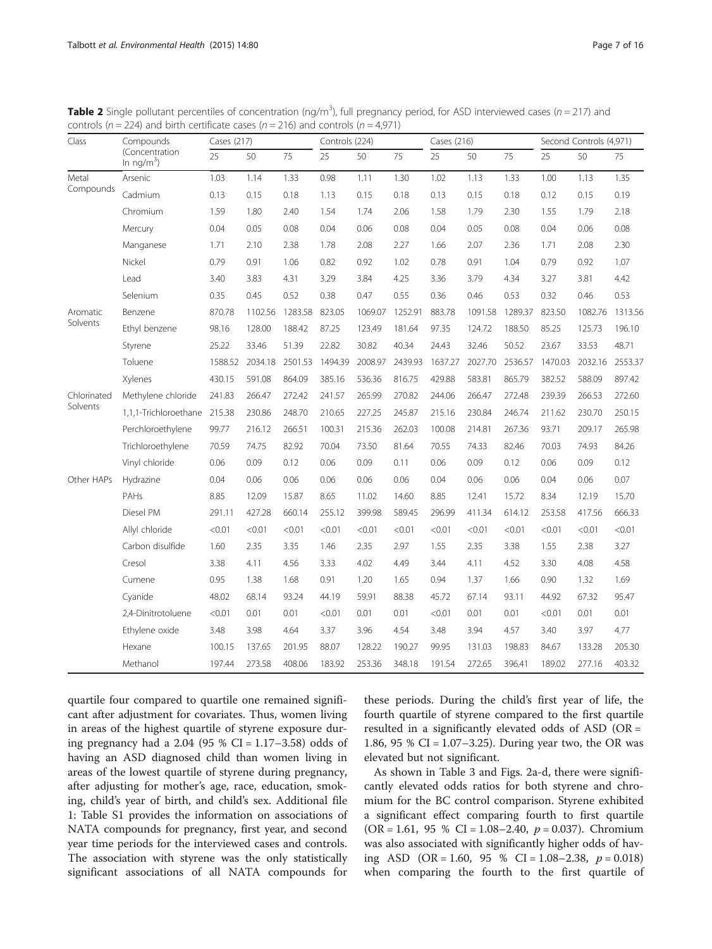<span id="page-6-0"></span>

| <b>Table 2</b> Single pollutant percentiles of concentration (ng/m <sup>3</sup> ), full pregnancy period, for ASD interviewed cases ( $n = 217$ ) and |  |
|-------------------------------------------------------------------------------------------------------------------------------------------------------|--|
| controls ( $n = 224$ ) and birth certificate cases ( $n = 216$ ) and controls ( $n = 4.971$ )                                                         |  |

| Class       | Compounds                       | Cases (217) |         |         | Controls (224) |         |         | Cases (216) |         |         | Second Controls (4,971) |         |         |
|-------------|---------------------------------|-------------|---------|---------|----------------|---------|---------|-------------|---------|---------|-------------------------|---------|---------|
|             | (Concentration<br>In $nq/m^3$ ) | 25          | 50      | 75      | 25             | 50      | 75      | 25          | 50      | 75      | 25                      | 50      | 75      |
| Metal       | Arsenic                         | 1.03        | 1.14    | 1.33    | 0.98           | 1.11    | 1.30    | 1.02        | 1.13    | 1.33    | 1.00                    | 1.13    | 1.35    |
| Compounds   | Cadmium                         | 0.13        | 0.15    | 0.18    | 1.13           | 0.15    | 0.18    | 0.13        | 0.15    | 0.18    | 0.12                    | 0.15    | 0.19    |
|             | Chromium                        | 1.59        | 1.80    | 2.40    | 1.54           | 1.74    | 2.06    | 1.58        | 1.79    | 2.30    | 1.55                    | 1.79    | 2.18    |
|             | Mercury                         | 0.04        | 0.05    | 0.08    | 0.04           | 0.06    | 0.08    | 0.04        | 0.05    | 0.08    | 0.04                    | 0.06    | 0.08    |
|             | Manganese                       | 1.71        | 2.10    | 2.38    | 1.78           | 2.08    | 2.27    | 1.66        | 2.07    | 2.36    | 1.71                    | 2.08    | 2.30    |
|             | Nickel                          | 0.79        | 0.91    | 1.06    | 0.82           | 0.92    | 1.02    | 0.78        | 0.91    | 1.04    | 0.79                    | 0.92    | 1.07    |
|             | Lead                            | 3.40        | 3.83    | 4.31    | 3.29           | 3.84    | 4.25    | 3.36        | 3.79    | 4.34    | 3.27                    | 3.81    | 4.42    |
|             | Selenium                        | 0.35        | 0.45    | 0.52    | 0.38           | 0.47    | 0.55    | 0.36        | 0.46    | 0.53    | 0.32                    | 0.46    | 0.53    |
| Aromatic    | Benzene                         | 870.78      | 1102.56 | 1283.58 | 823.05         | 1069.07 | 1252.91 | 883.78      | 1091.58 | 1289.37 | 823.50                  | 1082.76 | 1313.56 |
| Solvents    | Ethyl benzene                   | 98.16       | 128.00  | 188.42  | 87.25          | 123.49  | 181.64  | 97.35       | 124.72  | 188.50  | 85.25                   | 125.73  | 196.10  |
|             | Styrene                         | 25.22       | 33.46   | 51.39   | 22.82          | 30.82   | 40.34   | 24.43       | 32.46   | 50.52   | 23.67                   | 33.53   | 48.71   |
|             | Toluene                         | 1588.52     | 2034.18 | 2501.53 | 1494.39        | 2008.97 | 2439.93 | 1637.27     | 2027.70 | 2536.57 | 1470.03                 | 2032.16 | 2553.37 |
|             | Xylenes                         | 430.15      | 591.08  | 864.09  | 385.16         | 536.36  | 816.75  | 429.88      | 583.81  | 865.79  | 382.52                  | 588.09  | 897.42  |
| Chlorinated | Methylene chloride              | 241.83      | 266.47  | 272.42  | 241.57         | 265.99  | 270.82  | 244.06      | 266.47  | 272.48  | 239.39                  | 266.53  | 272.60  |
| Solvents    | 1,1,1-Trichloroethane           | 215.38      | 230.86  | 248.70  | 210.65         | 227.25  | 245.87  | 215.16      | 230.84  | 246.74  | 211.62                  | 230.70  | 250.15  |
|             | Perchloroethylene               | 99.77       | 216.12  | 266.51  | 100.31         | 215.36  | 262.03  | 100.08      | 214.81  | 267.36  | 93.71                   | 209.17  | 265.98  |
|             | Trichloroethylene               | 70.59       | 74.75   | 82.92   | 70.04          | 73.50   | 81.64   | 70.55       | 74.33   | 82.46   | 70.03                   | 74.93   | 84.26   |
|             | Vinyl chloride                  | 0.06        | 0.09    | 0.12    | 0.06           | 0.09    | 0.11    | 0.06        | 0.09    | 0.12    | 0.06                    | 0.09    | 0.12    |
| Other HAPs  | Hydrazine                       | 0.04        | 0.06    | 0.06    | 0.06           | 0.06    | 0.06    | 0.04        | 0.06    | 0.06    | 0.04                    | 0.06    | 0.07    |
|             | PAHs                            | 8.85        | 12.09   | 15.87   | 8.65           | 11.02   | 14.60   | 8.85        | 12.41   | 15.72   | 8.34                    | 12.19   | 15.70   |
|             | Diesel PM                       | 291.11      | 427.28  | 660.14  | 255.12         | 399.98  | 589.45  | 296.99      | 411.34  | 614.12  | 253.58                  | 417.56  | 666.33  |
|             | Allyl chloride                  | < 0.01      | < 0.01  | < 0.01  | < 0.01         | < 0.01  | < 0.01  | < 0.01      | < 0.01  | < 0.01  | < 0.01                  | < 0.01  | < 0.01  |
|             | Carbon disulfide                | 1.60        | 2.35    | 3.35    | 1.46           | 2.35    | 2.97    | 1.55        | 2.35    | 3.38    | 1.55                    | 2.38    | 3.27    |
|             | Cresol                          | 3.38        | 4.11    | 4.56    | 3.33           | 4.02    | 4.49    | 3.44        | 4.11    | 4.52    | 3.30                    | 4.08    | 4.58    |
|             | Cumene                          | 0.95        | 1.38    | 1.68    | 0.91           | 1.20    | 1.65    | 0.94        | 1.37    | 1.66    | 0.90                    | 1.32    | 1.69    |
|             | Cyanide                         | 48.02       | 68.14   | 93.24   | 44.19          | 59.91   | 88.38   | 45.72       | 67.14   | 93.11   | 44.92                   | 67.32   | 95.47   |
|             | 2,4-Dinitrotoluene              | < 0.01      | 0.01    | 0.01    | < 0.01         | 0.01    | 0.01    | < 0.01      | 0.01    | 0.01    | < 0.01                  | 0.01    | 0.01    |
|             | Ethylene oxide                  | 3.48        | 3.98    | 4.64    | 3.37           | 3.96    | 4.54    | 3.48        | 3.94    | 4.57    | 3.40                    | 3.97    | 4.77    |
|             | Hexane                          | 100.15      | 137.65  | 201.95  | 88.07          | 128.22  | 190.27  | 99.95       | 131.03  | 198.83  | 84.67                   | 133.28  | 205.30  |
|             | Methanol                        | 197.44      | 273.58  | 408.06  | 183.92         | 253.36  | 348.18  | 191.54      | 272.65  | 396.41  | 189.02                  | 277.16  | 403.32  |

quartile four compared to quartile one remained significant after adjustment for covariates. Thus, women living in areas of the highest quartile of styrene exposure during pregnancy had a 2.04 (95 % CI =  $1.17-3.58$ ) odds of having an ASD diagnosed child than women living in areas of the lowest quartile of styrene during pregnancy, after adjusting for mother's age, race, education, smoking, child's year of birth, and child's sex. Additional file [1:](#page-14-0) Table S1 provides the information on associations of NATA compounds for pregnancy, first year, and second year time periods for the interviewed cases and controls. The association with styrene was the only statistically significant associations of all NATA compounds for

these periods. During the child's first year of life, the fourth quartile of styrene compared to the first quartile resulted in a significantly elevated odds of ASD (OR = 1.86, 95 % CI = 1.07–3.25). During year two, the OR was elevated but not significant.

As shown in Table [3](#page-8-0) and Figs. [2a-d,](#page-11-0) there were significantly elevated odds ratios for both styrene and chromium for the BC control comparison. Styrene exhibited a significant effect comparing fourth to first quartile (OR = 1.61, 95 % CI = 1.08–2.40,  $p = 0.037$ ). Chromium was also associated with significantly higher odds of having ASD (OR = 1.60, 95 % CI = 1.08–2.38,  $p = 0.018$ ) when comparing the fourth to the first quartile of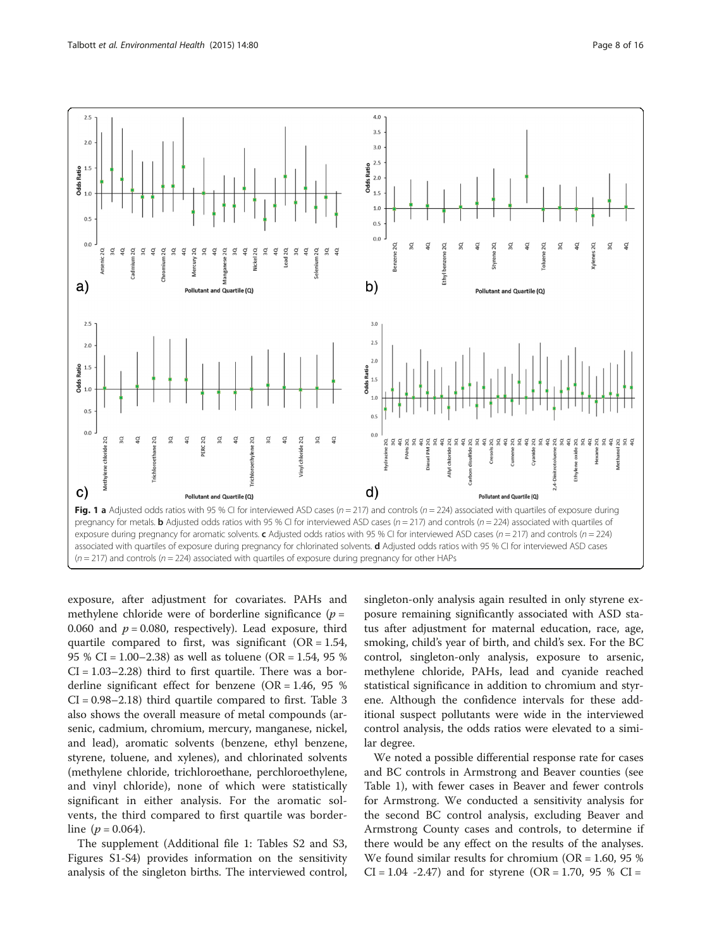

<span id="page-7-0"></span>

exposure, after adjustment for covariates. PAHs and methylene chloride were of borderline significance ( $p =$ 0.060 and  $p = 0.080$ , respectively). Lead exposure, third quartile compared to first, was significant ( $OR = 1.54$ , 95 % CI = 1.00–2.38) as well as toluene (OR = 1.54, 95 %  $CI = 1.03 - 2.28$ ) third to first quartile. There was a borderline significant effect for benzene (OR = 1.46, 95 %  $CI = 0.98 - 2.18$ ) third quartile compared to first. Table [3](#page-8-0) also shows the overall measure of metal compounds (arsenic, cadmium, chromium, mercury, manganese, nickel, and lead), aromatic solvents (benzene, ethyl benzene, styrene, toluene, and xylenes), and chlorinated solvents (methylene chloride, trichloroethane, perchloroethylene, and vinyl chloride), none of which were statistically significant in either analysis. For the aromatic solvents, the third compared to first quartile was borderline  $(p = 0.064)$ .

The supplement (Additional file [1:](#page-14-0) Tables S2 and S3, Figures S1-S4) provides information on the sensitivity analysis of the singleton births. The interviewed control,

singleton-only analysis again resulted in only styrene exposure remaining significantly associated with ASD status after adjustment for maternal education, race, age, smoking, child's year of birth, and child's sex. For the BC control, singleton-only analysis, exposure to arsenic, methylene chloride, PAHs, lead and cyanide reached statistical significance in addition to chromium and styrene. Although the confidence intervals for these additional suspect pollutants were wide in the interviewed control analysis, the odds ratios were elevated to a similar degree.

We noted a possible differential response rate for cases and BC controls in Armstrong and Beaver counties (see Table [1\)](#page-5-0), with fewer cases in Beaver and fewer controls for Armstrong. We conducted a sensitivity analysis for the second BC control analysis, excluding Beaver and Armstrong County cases and controls, to determine if there would be any effect on the results of the analyses. We found similar results for chromium ( $OR = 1.60$ , 95 %)  $CI = 1.04 - 2.47$  and for styrene (OR = 1.70, 95 % CI =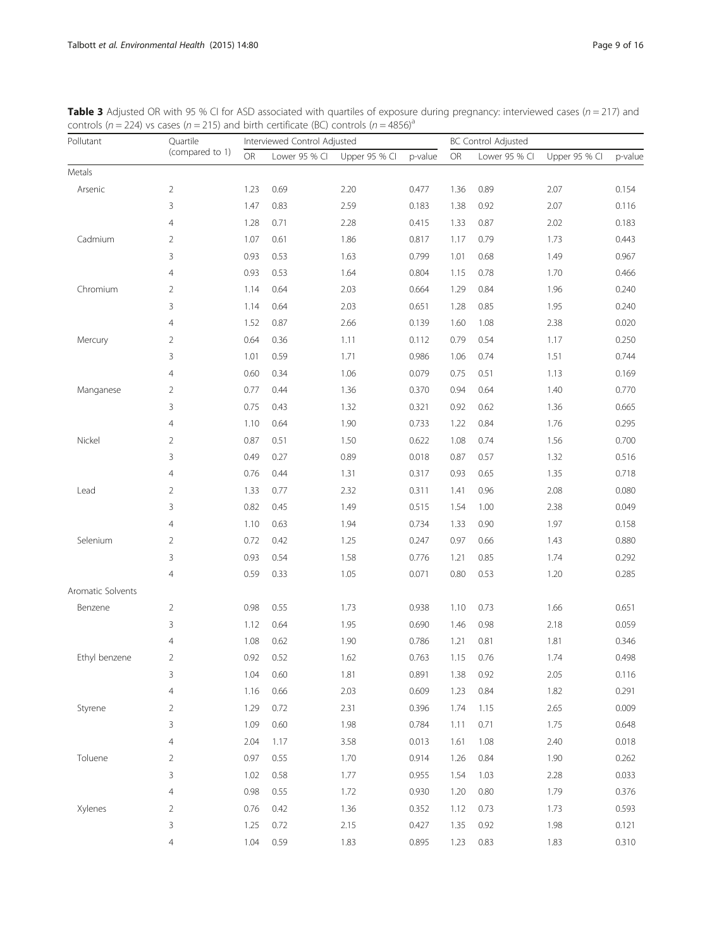<span id="page-8-0"></span>Table 3 Adjusted OR with 95 % CI for ASD associated with quartiles of exposure during pregnancy: interviewed cases (n = 217) and controls ( $n = 224$ ) vs cases ( $n = 215$ ) and birth certificate (BC) controls ( $n = 4856$ )<sup>a</sup>

| Pollutant         | Quartile        | Interviewed Control Adjusted |               |               |         |      | <b>BC Control Adjusted</b> |               |         |  |  |
|-------------------|-----------------|------------------------------|---------------|---------------|---------|------|----------------------------|---------------|---------|--|--|
|                   | (compared to 1) | <b>OR</b>                    | Lower 95 % Cl | Upper 95 % Cl | p-value | OR   | Lower 95 % Cl              | Upper 95 % Cl | p-value |  |  |
| Metals            |                 |                              |               |               |         |      |                            |               |         |  |  |
| Arsenic           | $\overline{2}$  | 1.23                         | 0.69          | 2.20          | 0.477   | 1.36 | 0.89                       | 2.07          | 0.154   |  |  |
|                   | 3               | 1.47                         | 0.83          | 2.59          | 0.183   | 1.38 | 0.92                       | 2.07          | 0.116   |  |  |
|                   | 4               | 1.28                         | 0.71          | 2.28          | 0.415   | 1.33 | 0.87                       | 2.02          | 0.183   |  |  |
| Cadmium           | $\overline{2}$  | 1.07                         | 0.61          | 1.86          | 0.817   | 1.17 | 0.79                       | 1.73          | 0.443   |  |  |
|                   | 3               | 0.93                         | 0.53          | 1.63          | 0.799   | 1.01 | 0.68                       | 1.49          | 0.967   |  |  |
|                   | $\overline{4}$  | 0.93                         | 0.53          | 1.64          | 0.804   | 1.15 | 0.78                       | 1.70          | 0.466   |  |  |
| Chromium          | $\overline{2}$  | 1.14                         | 0.64          | 2.03          | 0.664   | 1.29 | 0.84                       | 1.96          | 0.240   |  |  |
|                   | 3               | 1.14                         | 0.64          | 2.03          | 0.651   | 1.28 | 0.85                       | 1.95          | 0.240   |  |  |
|                   | $\overline{4}$  | 1.52                         | 0.87          | 2.66          | 0.139   | 1.60 | 1.08                       | 2.38          | 0.020   |  |  |
| Mercury           | $\overline{2}$  | 0.64                         | 0.36          | 1.11          | 0.112   | 0.79 | 0.54                       | 1.17          | 0.250   |  |  |
|                   | 3               | 1.01                         | 0.59          | 1.71          | 0.986   | 1.06 | 0.74                       | 1.51          | 0.744   |  |  |
|                   | $\overline{4}$  | 0.60                         | 0.34          | 1.06          | 0.079   | 0.75 | 0.51                       | 1.13          | 0.169   |  |  |
| Manganese         | $\overline{2}$  | 0.77                         | 0.44          | 1.36          | 0.370   | 0.94 | 0.64                       | 1.40          | 0.770   |  |  |
|                   | 3               | 0.75                         | 0.43          | 1.32          | 0.321   | 0.92 | 0.62                       | 1.36          | 0.665   |  |  |
|                   | 4               | 1.10                         | 0.64          | 1.90          | 0.733   | 1.22 | 0.84                       | 1.76          | 0.295   |  |  |
| Nickel            | $\overline{2}$  | 0.87                         | 0.51          | 1.50          | 0.622   | 1.08 | 0.74                       | 1.56          | 0.700   |  |  |
|                   | 3               | 0.49                         | 0.27          | 0.89          | 0.018   | 0.87 | 0.57                       | 1.32          | 0.516   |  |  |
|                   | $\overline{4}$  | 0.76                         | 0.44          | 1.31          | 0.317   | 0.93 | 0.65                       | 1.35          | 0.718   |  |  |
| Lead              | $\overline{2}$  | 1.33                         | 0.77          | 2.32          | 0.311   | 1.41 | 0.96                       | 2.08          | 0.080   |  |  |
|                   | 3               | 0.82                         | 0.45          | 1.49          | 0.515   | 1.54 | 1.00                       | 2.38          | 0.049   |  |  |
|                   | $\overline{4}$  | 1.10                         | 0.63          | 1.94          | 0.734   | 1.33 | 0.90                       | 1.97          | 0.158   |  |  |
| Selenium          | $\overline{2}$  | 0.72                         | 0.42          | 1.25          | 0.247   | 0.97 | 0.66                       | 1.43          | 0.880   |  |  |
|                   | 3               | 0.93                         | 0.54          | 1.58          | 0.776   | 1.21 | 0.85                       | 1.74          | 0.292   |  |  |
|                   | $\overline{4}$  | 0.59                         | 0.33          | 1.05          | 0.071   | 0.80 | 0.53                       | 1.20          | 0.285   |  |  |
| Aromatic Solvents |                 |                              |               |               |         |      |                            |               |         |  |  |
| Benzene           | $\overline{2}$  | 0.98                         | 0.55          | 1.73          | 0.938   | 1.10 | 0.73                       | 1.66          | 0.651   |  |  |
|                   | 3               | 1.12                         | 0.64          | 1.95          | 0.690   | 1.46 | 0.98                       | 2.18          | 0.059   |  |  |
|                   | 4               | 1.08                         | 0.62          | 1.90          | 0.786   | 1.21 | 0.81                       | 1.81          | 0.346   |  |  |
| Ethyl benzene     | $\overline{2}$  | 0.92                         | 0.52          | 1.62          | 0.763   | 1.15 | 0.76                       | 1.74          | 0.498   |  |  |
|                   | 3               | 1.04                         | 0.60          | 1.81          | 0.891   | 1.38 | 0.92                       | 2.05          | 0.116   |  |  |
|                   | 4               | 1.16                         | 0.66          | 2.03          | 0.609   | 1.23 | 0.84                       | 1.82          | 0.291   |  |  |
| Styrene           | $\overline{c}$  | 1.29                         | 0.72          | 2.31          | 0.396   | 1.74 | 1.15                       | 2.65          | 0.009   |  |  |
|                   | 3               | 1.09                         | 0.60          | 1.98          | 0.784   | 1.11 | 0.71                       | 1.75          | 0.648   |  |  |
|                   | 4               | 2.04                         | 1.17          | 3.58          | 0.013   | 1.61 | 1.08                       | 2.40          | 0.018   |  |  |
| Toluene           | $\overline{2}$  | 0.97                         | 0.55          | 1.70          | 0.914   | 1.26 | 0.84                       | 1.90          | 0.262   |  |  |
|                   | 3               | 1.02                         | 0.58          | 1.77          | 0.955   | 1.54 | 1.03                       | 2.28          | 0.033   |  |  |
|                   | 4               | 0.98                         | 0.55          | 1.72          | 0.930   | 1.20 | 0.80                       | 1.79          | 0.376   |  |  |
| Xylenes           | $\overline{2}$  | 0.76                         | 0.42          | 1.36          | 0.352   | 1.12 | 0.73                       | 1.73          | 0.593   |  |  |
|                   | 3               | 1.25                         | 0.72          | 2.15          | 0.427   | 1.35 | 0.92                       | 1.98          | 0.121   |  |  |
|                   | 4               | 1.04                         | 0.59          | 1.83          | 0.895   | 1.23 | 0.83                       | 1.83          | 0.310   |  |  |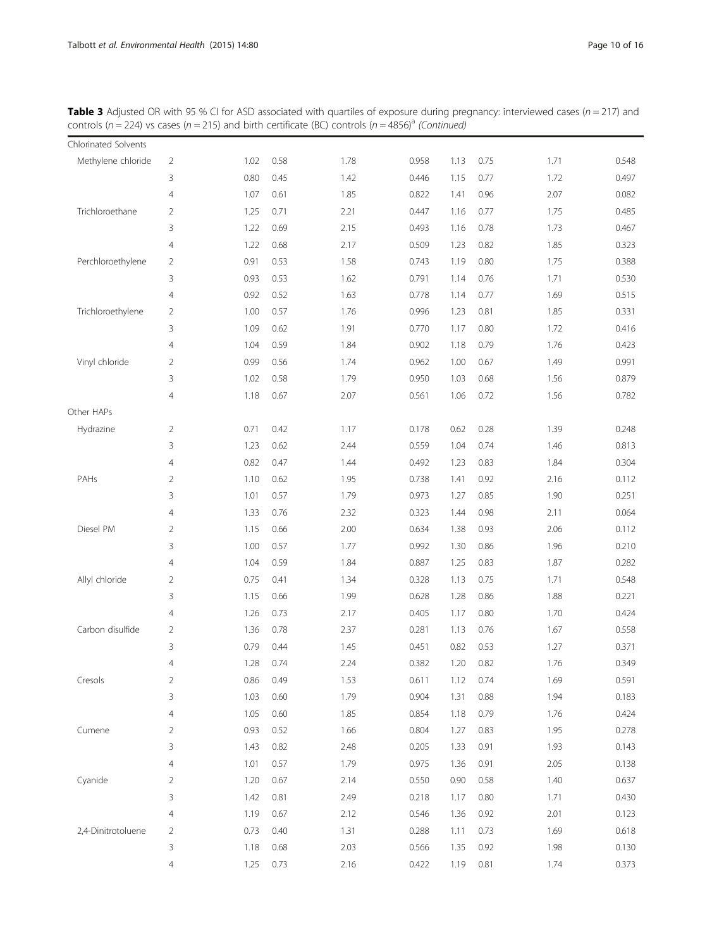Table 3 Adjusted OR with 95 % CI for ASD associated with quartiles of exposure during pregnancy: interviewed cases (n = 217) and controls ( $n = 224$ ) vs cases ( $n = 215$ ) and birth certificate (BC) controls ( $n = 4856$ <sup>a</sup> (Continued)

| Chlorinated Solvents |                |      |      |      |       |      |      |      |       |
|----------------------|----------------|------|------|------|-------|------|------|------|-------|
| Methylene chloride   | $\overline{2}$ | 1.02 | 0.58 | 1.78 | 0.958 | 1.13 | 0.75 | 1.71 | 0.548 |
|                      | $\mathsf 3$    | 0.80 | 0.45 | 1.42 | 0.446 | 1.15 | 0.77 | 1.72 | 0.497 |
|                      | $\overline{4}$ | 1.07 | 0.61 | 1.85 | 0.822 | 1.41 | 0.96 | 2.07 | 0.082 |
| Trichloroethane      | $\overline{2}$ | 1.25 | 0.71 | 2.21 | 0.447 | 1.16 | 0.77 | 1.75 | 0.485 |
|                      | 3              | 1.22 | 0.69 | 2.15 | 0.493 | 1.16 | 0.78 | 1.73 | 0.467 |
|                      | $\overline{4}$ | 1.22 | 0.68 | 2.17 | 0.509 | 1.23 | 0.82 | 1.85 | 0.323 |
| Perchloroethylene    | $\overline{2}$ | 0.91 | 0.53 | 1.58 | 0.743 | 1.19 | 0.80 | 1.75 | 0.388 |
|                      | 3              | 0.93 | 0.53 | 1.62 | 0.791 | 1.14 | 0.76 | 1.71 | 0.530 |
|                      | $\overline{4}$ | 0.92 | 0.52 | 1.63 | 0.778 | 1.14 | 0.77 | 1.69 | 0.515 |
| Trichloroethylene    | $\overline{2}$ | 1.00 | 0.57 | 1.76 | 0.996 | 1.23 | 0.81 | 1.85 | 0.331 |
|                      | 3              | 1.09 | 0.62 | 1.91 | 0.770 | 1.17 | 0.80 | 1.72 | 0.416 |
|                      | $\overline{4}$ | 1.04 | 0.59 | 1.84 | 0.902 | 1.18 | 0.79 | 1.76 | 0.423 |
| Vinyl chloride       | $\overline{2}$ | 0.99 | 0.56 | 1.74 | 0.962 | 1.00 | 0.67 | 1.49 | 0.991 |
|                      | 3              | 1.02 | 0.58 | 1.79 | 0.950 | 1.03 | 0.68 | 1.56 | 0.879 |
|                      | $\overline{4}$ | 1.18 | 0.67 | 2.07 | 0.561 | 1.06 | 0.72 | 1.56 | 0.782 |
| Other HAPs           |                |      |      |      |       |      |      |      |       |
| Hydrazine            | $\overline{2}$ | 0.71 | 0.42 | 1.17 | 0.178 | 0.62 | 0.28 | 1.39 | 0.248 |
|                      | $\mathsf 3$    | 1.23 | 0.62 | 2.44 | 0.559 | 1.04 | 0.74 | 1.46 | 0.813 |
|                      | $\overline{4}$ | 0.82 | 0.47 | 1.44 | 0.492 | 1.23 | 0.83 | 1.84 | 0.304 |
| PAHs                 | $\overline{2}$ | 1.10 | 0.62 | 1.95 | 0.738 | 1.41 | 0.92 | 2.16 | 0.112 |
|                      | $\mathsf 3$    | 1.01 | 0.57 | 1.79 | 0.973 | 1.27 | 0.85 | 1.90 | 0.251 |
|                      | $\overline{4}$ | 1.33 | 0.76 | 2.32 | 0.323 | 1.44 | 0.98 | 2.11 | 0.064 |
| Diesel PM            | $\overline{2}$ | 1.15 | 0.66 | 2.00 | 0.634 | 1.38 | 0.93 | 2.06 | 0.112 |
|                      | 3              | 1.00 | 0.57 | 1.77 | 0.992 | 1.30 | 0.86 | 1.96 | 0.210 |
|                      | $\overline{4}$ | 1.04 | 0.59 | 1.84 | 0.887 | 1.25 | 0.83 | 1.87 | 0.282 |
| Allyl chloride       | $\overline{2}$ | 0.75 | 0.41 | 1.34 | 0.328 | 1.13 | 0.75 | 1.71 | 0.548 |
|                      | 3              | 1.15 | 0.66 | 1.99 | 0.628 | 1.28 | 0.86 | 1.88 | 0.221 |
|                      | $\overline{4}$ | 1.26 | 0.73 | 2.17 | 0.405 | 1.17 | 0.80 | 1.70 | 0.424 |
| Carbon disulfide     | $\overline{2}$ | 1.36 | 0.78 | 2.37 | 0.281 | 1.13 | 0.76 | 1.67 | 0.558 |
|                      | $\mathsf 3$    | 0.79 | 0.44 | 1.45 | 0.451 | 0.82 | 0.53 | 1.27 | 0.371 |
|                      | $\overline{4}$ | 1.28 | 0.74 | 2.24 | 0.382 | 1.20 | 0.82 | 1.76 | 0.349 |
| Cresols              | $\overline{2}$ | 0.86 | 0.49 | 1.53 | 0.611 | 1.12 | 0.74 | 1.69 | 0.591 |
|                      | 3              | 1.03 | 0.60 | 1.79 | 0.904 | 1.31 | 0.88 | 1.94 | 0.183 |
|                      | $\overline{4}$ | 1.05 | 0.60 | 1.85 | 0.854 | 1.18 | 0.79 | 1.76 | 0.424 |
| Cumene               | $\overline{2}$ | 0.93 | 0.52 | 1.66 | 0.804 | 1.27 | 0.83 | 1.95 | 0.278 |
|                      | 3              | 1.43 | 0.82 | 2.48 | 0.205 | 1.33 | 0.91 | 1.93 | 0.143 |
|                      | $\overline{4}$ | 1.01 | 0.57 | 1.79 | 0.975 | 1.36 | 0.91 | 2.05 | 0.138 |
| Cyanide              | $\overline{2}$ | 1.20 | 0.67 | 2.14 | 0.550 | 0.90 | 0.58 | 1.40 | 0.637 |
|                      | 3              | 1.42 | 0.81 | 2.49 | 0.218 | 1.17 | 0.80 | 1.71 | 0.430 |
|                      | $\overline{4}$ | 1.19 | 0.67 | 2.12 | 0.546 | 1.36 | 0.92 | 2.01 | 0.123 |
| 2,4-Dinitrotoluene   | 2              | 0.73 | 0.40 | 1.31 | 0.288 | 1.11 | 0.73 | 1.69 | 0.618 |
|                      | 3              | 1.18 | 0.68 | 2.03 | 0.566 | 1.35 | 0.92 | 1.98 | 0.130 |
|                      | 4              | 1.25 | 0.73 | 2.16 | 0.422 | 1.19 | 0.81 | 1.74 | 0.373 |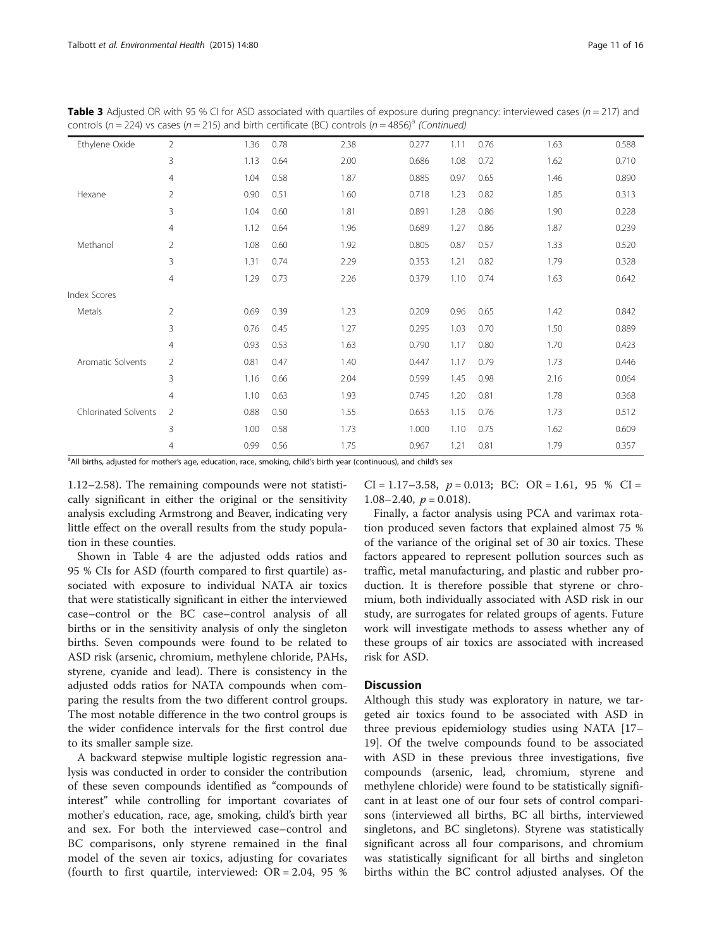**Table 3** Adjusted OR with 95 % CI for ASD associated with quartiles of exposure during pregnancy: interviewed cases ( $n = 217$ ) and controls ( $n = 224$ ) vs cases ( $n = 215$ ) and birth certificate (BC) controls ( $n = 4856$ <sup>a</sup> (Continued)

| Ethylene Oxide       | $\overline{2}$ | 1.36 | 0.78 | 2.38 | 0.277 | 1.11 | 0.76 | 1.63 | 0.588 |
|----------------------|----------------|------|------|------|-------|------|------|------|-------|
|                      | 3              | 1.13 | 0.64 | 2.00 | 0.686 | 1.08 | 0.72 | 1.62 | 0.710 |
|                      | 4              | 1.04 | 0.58 | 1.87 | 0.885 | 0.97 | 0.65 | 1.46 | 0.890 |
| Hexane               | $\overline{2}$ | 0.90 | 0.51 | 1.60 | 0.718 | 1.23 | 0.82 | 1.85 | 0.313 |
|                      | 3              | 1.04 | 0.60 | 1.81 | 0.891 | 1.28 | 0.86 | 1.90 | 0.228 |
|                      | $\overline{4}$ | 1.12 | 0.64 | 1.96 | 0.689 | 1.27 | 0.86 | 1.87 | 0.239 |
| Methanol             | $\overline{2}$ | 1.08 | 0.60 | 1.92 | 0.805 | 0.87 | 0.57 | 1.33 | 0.520 |
|                      | 3              | 1.31 | 0.74 | 2.29 | 0.353 | 1.21 | 0.82 | 1.79 | 0.328 |
|                      | 4              | 1.29 | 0.73 | 2.26 | 0.379 | 1.10 | 0.74 | 1.63 | 0.642 |
| <b>Index Scores</b>  |                |      |      |      |       |      |      |      |       |
| Metals               | $\overline{2}$ | 0.69 | 0.39 | 1.23 | 0.209 | 0.96 | 0.65 | 1.42 | 0.842 |
|                      | 3              | 0.76 | 0.45 | 1.27 | 0.295 | 1.03 | 0.70 | 1.50 | 0.889 |
|                      | $\overline{4}$ | 0.93 | 0.53 | 1.63 | 0.790 | 1.17 | 0.80 | 1.70 | 0.423 |
| Aromatic Solvents    | $\overline{2}$ | 0.81 | 0.47 | 1.40 | 0.447 | 1.17 | 0.79 | 1.73 | 0.446 |
|                      | 3              | 1.16 | 0.66 | 2.04 | 0.599 | 1.45 | 0.98 | 2.16 | 0.064 |
|                      | $\overline{4}$ | 1.10 | 0.63 | 1.93 | 0.745 | 1.20 | 0.81 | 1.78 | 0.368 |
| Chlorinated Solvents | $\mathfrak{D}$ | 0.88 | 0.50 | 1.55 | 0.653 | 1.15 | 0.76 | 1.73 | 0.512 |
|                      | 3              | 1.00 | 0.58 | 1.73 | 1.000 | 1.10 | 0.75 | 1.62 | 0.609 |
|                      | $\overline{4}$ | 0.99 | 0.56 | 1.75 | 0.967 | 1.21 | 0.81 | 1.79 | 0.357 |

a<br>All births, adjusted for mother's age, education, race, smoking, child's birth year (continuous), and child's sex

1.12–2.58). The remaining compounds were not statistically significant in either the original or the sensitivity analysis excluding Armstrong and Beaver, indicating very little effect on the overall results from the study population in these counties.

Shown in Table [4](#page-11-0) are the adjusted odds ratios and 95 % CIs for ASD (fourth compared to first quartile) associated with exposure to individual NATA air toxics that were statistically significant in either the interviewed case–control or the BC case–control analysis of all births or in the sensitivity analysis of only the singleton births. Seven compounds were found to be related to ASD risk (arsenic, chromium, methylene chloride, PAHs, styrene, cyanide and lead). There is consistency in the adjusted odds ratios for NATA compounds when comparing the results from the two different control groups. The most notable difference in the two control groups is the wider confidence intervals for the first control due to its smaller sample size.

A backward stepwise multiple logistic regression analysis was conducted in order to consider the contribution of these seven compounds identified as "compounds of interest" while controlling for important covariates of mother's education, race, age, smoking, child's birth year and sex. For both the interviewed case–control and BC comparisons, only styrene remained in the final model of the seven air toxics, adjusting for covariates (fourth to first quartile, interviewed: OR = 2.04, 95 %  $CI = 1.17 - 3.58$ ,  $p = 0.013$ ; BC: OR = 1.61, 95 % CI = 1.08–2.40,  $p = 0.018$ ).

Finally, a factor analysis using PCA and varimax rotation produced seven factors that explained almost 75 % of the variance of the original set of 30 air toxics. These factors appeared to represent pollution sources such as traffic, metal manufacturing, and plastic and rubber production. It is therefore possible that styrene or chromium, both individually associated with ASD risk in our study, are surrogates for related groups of agents. Future work will investigate methods to assess whether any of these groups of air toxics are associated with increased risk for ASD.

## **Discussion**

Although this study was exploratory in nature, we targeted air toxics found to be associated with ASD in three previous epidemiology studies using NATA [[17](#page-14-0)– [19\]](#page-14-0). Of the twelve compounds found to be associated with ASD in these previous three investigations, five compounds (arsenic, lead, chromium, styrene and methylene chloride) were found to be statistically significant in at least one of our four sets of control comparisons (interviewed all births, BC all births, interviewed singletons, and BC singletons). Styrene was statistically significant across all four comparisons, and chromium was statistically significant for all births and singleton births within the BC control adjusted analyses. Of the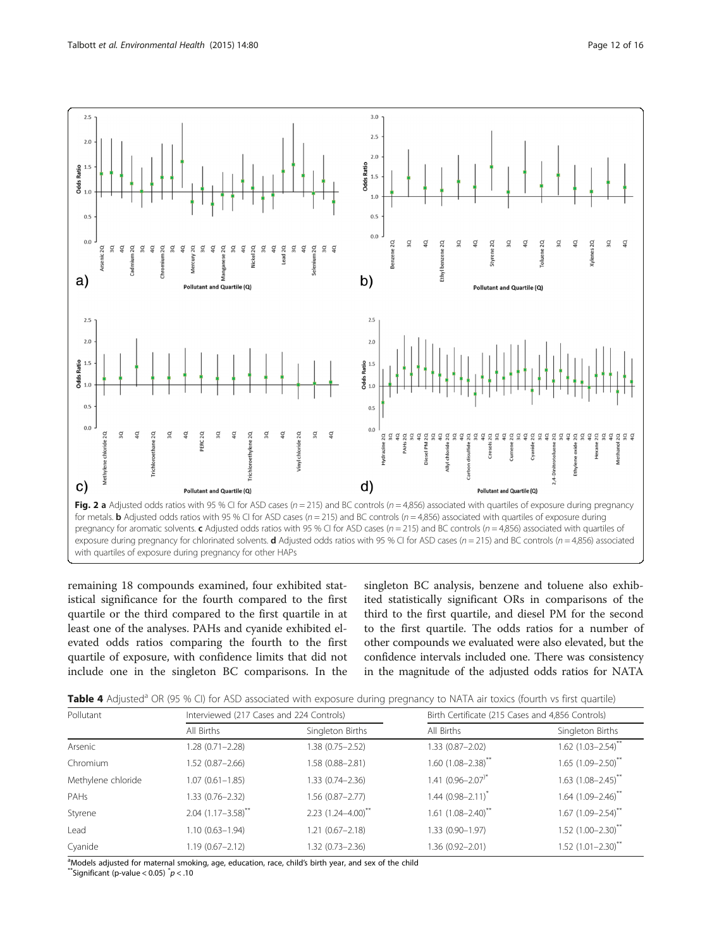

<span id="page-11-0"></span>

remaining 18 compounds examined, four exhibited statistical significance for the fourth compared to the first quartile or the third compared to the first quartile in at least one of the analyses. PAHs and cyanide exhibited elevated odds ratios comparing the fourth to the first quartile of exposure, with confidence limits that did not include one in the singleton BC comparisons. In the

singleton BC analysis, benzene and toluene also exhibited statistically significant ORs in comparisons of the third to the first quartile, and diesel PM for the second to the first quartile. The odds ratios for a number of other compounds we evaluated were also elevated, but the confidence intervals included one. There was consistency in the magnitude of the adjusted odds ratios for NATA

|  | Table 4 Adjusted <sup>a</sup> OR (95 % CI) for ASD associated with exposure during pregnancy to NATA air toxics (fourth vs first quartile) |  |  |
|--|--------------------------------------------------------------------------------------------------------------------------------------------|--|--|
|  |                                                                                                                                            |  |  |

| Pollutant          | Interviewed (217 Cases and 224 Controls) |                          |                                  | Birth Certificate (215 Cases and 4,856 Controls) |  |  |
|--------------------|------------------------------------------|--------------------------|----------------------------------|--------------------------------------------------|--|--|
|                    | All Births                               | Singleton Births         | All Births                       | Singleton Births                                 |  |  |
| Arsenic            | 1.28 (0.71-2.28)                         | 1.38 (0.75-2.52)         | 1.33 (0.87-2.02)                 | $1.62$ (1.03-2.54) <sup>**</sup>                 |  |  |
| Chromium           | 1.52 (0.87-2.66)                         | 1.58 (0.88-2.81)         | $1.60$ (1.08-2.38) <sup>**</sup> | $1.65$ (1.09-2.50) <sup>**</sup>                 |  |  |
| Methylene chloride | $1.07(0.61 - 1.85)$                      | 1.33 (0.74-2.36)         | $1.41 (0.96 - 2.07)^{*}$         | $1.63$ $(1.08 - 2.45)$ **                        |  |  |
| PAHs               | 1.33 (0.76-2.32)                         | $1.56(0.87 - 2.77)$      | $1.44(0.98 - 2.11)^{*}$          | $1.64$ $(1.09 - 2.46)^{**}$                      |  |  |
| Styrene            | $2.04$ (1.17-3.58) <sup>**</sup>         | $2.23(1.24 - 4.00)^{**}$ | $1.61$ $(1.08 - 2.40)^{44}$      | $1.67$ (1.09-2.54) <sup>**</sup>                 |  |  |
| Lead               | $1.10(0.63 - 1.94)$                      | $1.21(0.67 - 2.18)$      | 1.33 (0.90-1.97)                 | $1.52$ $(1.00-2.30)$ **                          |  |  |
| Cyanide            | $1.19(0.67 - 2.12)$                      | 1.32 (0.73-2.36)         | 1.36 (0.92-2.01)                 | $1.52$ $(1.01 - 2.30)^{**}$                      |  |  |

<sup>a</sup>Models adjusted for maternal smoking, age, education, race, child's birth year, and sex of the child<br>\*\*Significant (p-value < 0.05) \**p* < .10

"Significant (p-value < 0.05)  $p$  < .10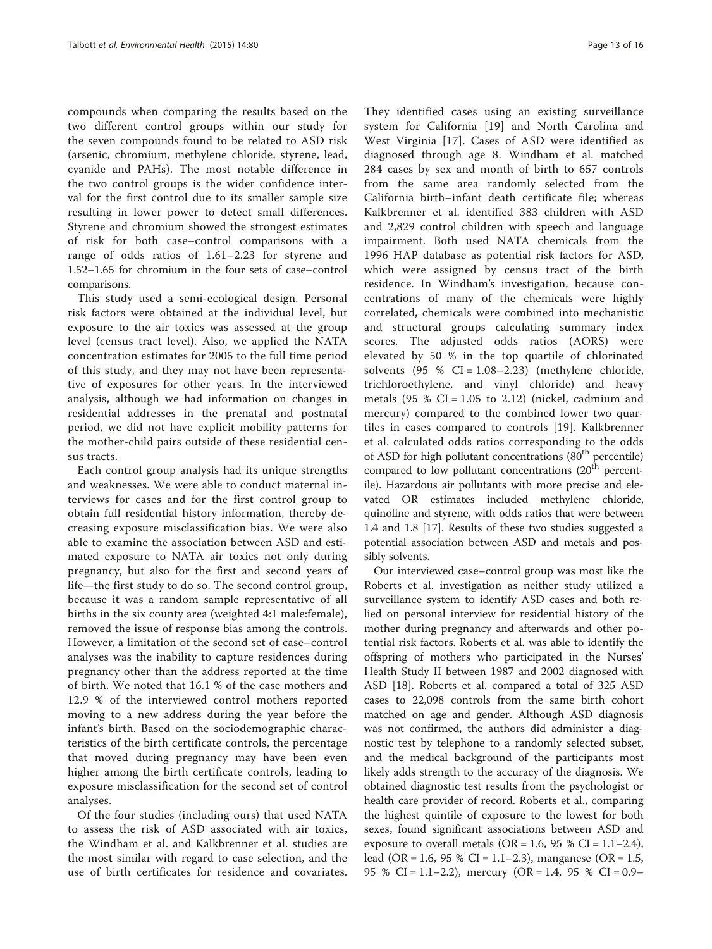compounds when comparing the results based on the two different control groups within our study for the seven compounds found to be related to ASD risk (arsenic, chromium, methylene chloride, styrene, lead, cyanide and PAHs). The most notable difference in the two control groups is the wider confidence interval for the first control due to its smaller sample size resulting in lower power to detect small differences. Styrene and chromium showed the strongest estimates of risk for both case–control comparisons with a range of odds ratios of 1.61–2.23 for styrene and 1.52–1.65 for chromium in the four sets of case–control comparisons.

This study used a semi-ecological design. Personal risk factors were obtained at the individual level, but exposure to the air toxics was assessed at the group level (census tract level). Also, we applied the NATA concentration estimates for 2005 to the full time period of this study, and they may not have been representative of exposures for other years. In the interviewed analysis, although we had information on changes in residential addresses in the prenatal and postnatal period, we did not have explicit mobility patterns for the mother-child pairs outside of these residential census tracts.

Each control group analysis had its unique strengths and weaknesses. We were able to conduct maternal interviews for cases and for the first control group to obtain full residential history information, thereby decreasing exposure misclassification bias. We were also able to examine the association between ASD and estimated exposure to NATA air toxics not only during pregnancy, but also for the first and second years of life—the first study to do so. The second control group, because it was a random sample representative of all births in the six county area (weighted 4:1 male:female), removed the issue of response bias among the controls. However, a limitation of the second set of case–control analyses was the inability to capture residences during pregnancy other than the address reported at the time of birth. We noted that 16.1 % of the case mothers and 12.9 % of the interviewed control mothers reported moving to a new address during the year before the infant's birth. Based on the sociodemographic characteristics of the birth certificate controls, the percentage that moved during pregnancy may have been even higher among the birth certificate controls, leading to exposure misclassification for the second set of control analyses.

Of the four studies (including ours) that used NATA to assess the risk of ASD associated with air toxics, the Windham et al. and Kalkbrenner et al. studies are the most similar with regard to case selection, and the use of birth certificates for residence and covariates.

They identified cases using an existing surveillance system for California [[19\]](#page-14-0) and North Carolina and West Virginia [\[17\]](#page-14-0). Cases of ASD were identified as diagnosed through age 8. Windham et al. matched 284 cases by sex and month of birth to 657 controls from the same area randomly selected from the California birth–infant death certificate file; whereas Kalkbrenner et al. identified 383 children with ASD and 2,829 control children with speech and language impairment. Both used NATA chemicals from the 1996 HAP database as potential risk factors for ASD, which were assigned by census tract of the birth residence. In Windham's investigation, because concentrations of many of the chemicals were highly correlated, chemicals were combined into mechanistic and structural groups calculating summary index scores. The adjusted odds ratios (AORS) were elevated by 50 % in the top quartile of chlorinated solvents  $(95 % CI = 1.08-2.23)$  (methylene chloride, trichloroethylene, and vinyl chloride) and heavy metals (95 %  $CI = 1.05$  to 2.12) (nickel, cadmium and mercury) compared to the combined lower two quartiles in cases compared to controls [\[19\]](#page-14-0). Kalkbrenner et al. calculated odds ratios corresponding to the odds of ASD for high pollutant concentrations (80<sup>th</sup> percentile) compared to low pollutant concentrations  $(20<sup>th</sup>$  percentile). Hazardous air pollutants with more precise and elevated OR estimates included methylene chloride, quinoline and styrene, with odds ratios that were between 1.4 and 1.8 [[17](#page-14-0)]. Results of these two studies suggested a potential association between ASD and metals and possibly solvents.

Our interviewed case–control group was most like the Roberts et al. investigation as neither study utilized a surveillance system to identify ASD cases and both relied on personal interview for residential history of the mother during pregnancy and afterwards and other potential risk factors. Roberts et al. was able to identify the offspring of mothers who participated in the Nurses' Health Study II between 1987 and 2002 diagnosed with ASD [\[18](#page-14-0)]. Roberts et al. compared a total of 325 ASD cases to 22,098 controls from the same birth cohort matched on age and gender. Although ASD diagnosis was not confirmed, the authors did administer a diagnostic test by telephone to a randomly selected subset, and the medical background of the participants most likely adds strength to the accuracy of the diagnosis. We obtained diagnostic test results from the psychologist or health care provider of record. Roberts et al., comparing the highest quintile of exposure to the lowest for both sexes, found significant associations between ASD and exposure to overall metals (OR = 1.6, 95 % CI = 1.1–2.4), lead (OR = 1.6, 95 % CI = 1.1–2.3), manganese (OR = 1.5, 95 % CI = 1.1–2.2), mercury (OR = 1.4, 95 % CI = 0.9–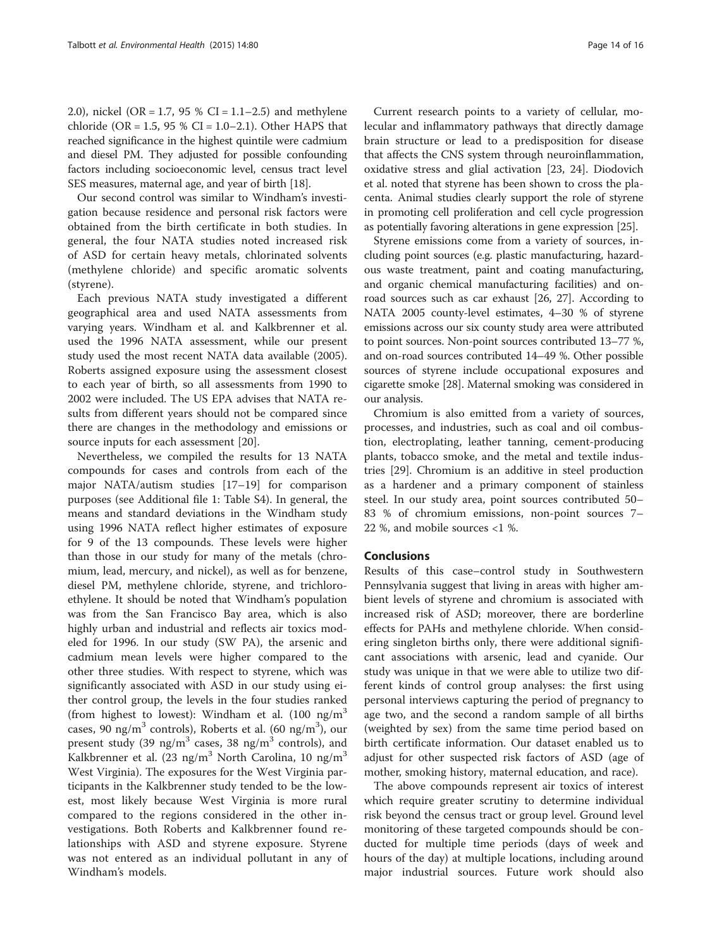2.0), nickel (OR = 1.7, 95 % CI = 1.1–2.5) and methylene chloride (OR = 1.5, 95 % CI = 1.0–2.1). Other HAPS that reached significance in the highest quintile were cadmium and diesel PM. They adjusted for possible confounding factors including socioeconomic level, census tract level SES measures, maternal age, and year of birth [\[18](#page-14-0)].

Our second control was similar to Windham's investigation because residence and personal risk factors were obtained from the birth certificate in both studies. In general, the four NATA studies noted increased risk of ASD for certain heavy metals, chlorinated solvents (methylene chloride) and specific aromatic solvents (styrene).

Each previous NATA study investigated a different geographical area and used NATA assessments from varying years. Windham et al. and Kalkbrenner et al. used the 1996 NATA assessment, while our present study used the most recent NATA data available (2005). Roberts assigned exposure using the assessment closest to each year of birth, so all assessments from 1990 to 2002 were included. The US EPA advises that NATA results from different years should not be compared since there are changes in the methodology and emissions or source inputs for each assessment [\[20\]](#page-14-0).

Nevertheless, we compiled the results for 13 NATA compounds for cases and controls from each of the major NATA/autism studies [\[17](#page-14-0)–[19\]](#page-14-0) for comparison purposes (see Additional file [1](#page-14-0): Table S4). In general, the means and standard deviations in the Windham study using 1996 NATA reflect higher estimates of exposure for 9 of the 13 compounds. These levels were higher than those in our study for many of the metals (chromium, lead, mercury, and nickel), as well as for benzene, diesel PM, methylene chloride, styrene, and trichloroethylene. It should be noted that Windham's population was from the San Francisco Bay area, which is also highly urban and industrial and reflects air toxics modeled for 1996. In our study (SW PA), the arsenic and cadmium mean levels were higher compared to the other three studies. With respect to styrene, which was significantly associated with ASD in our study using either control group, the levels in the four studies ranked (from highest to lowest): Windham et al.  $(100 \text{ ng/m}^3)$ cases, 90 ng/m $^3$  controls), Roberts et al. (60 ng/m $^3$ ), our present study (39 ng/ $m<sup>3</sup>$  cases, 38 ng/ $m<sup>3</sup>$  controls), and Kalkbrenner et al.  $(23 \text{ ng/m}^3 \text{ North Carolina}, 10 \text{ ng/m}^3$ West Virginia). The exposures for the West Virginia participants in the Kalkbrenner study tended to be the lowest, most likely because West Virginia is more rural compared to the regions considered in the other investigations. Both Roberts and Kalkbrenner found relationships with ASD and styrene exposure. Styrene was not entered as an individual pollutant in any of Windham's models.

Current research points to a variety of cellular, molecular and inflammatory pathways that directly damage brain structure or lead to a predisposition for disease that affects the CNS system through neuroinflammation, oxidative stress and glial activation [[23, 24\]](#page-14-0). Diodovich et al. noted that styrene has been shown to cross the placenta. Animal studies clearly support the role of styrene in promoting cell proliferation and cell cycle progression as potentially favoring alterations in gene expression [\[25\]](#page-14-0).

Styrene emissions come from a variety of sources, including point sources (e.g. plastic manufacturing, hazardous waste treatment, paint and coating manufacturing, and organic chemical manufacturing facilities) and onroad sources such as car exhaust [\[26, 27](#page-15-0)]. According to NATA 2005 county-level estimates, 4–30 % of styrene emissions across our six county study area were attributed to point sources. Non-point sources contributed 13–77 %, and on-road sources contributed 14–49 %. Other possible sources of styrene include occupational exposures and cigarette smoke [\[28](#page-15-0)]. Maternal smoking was considered in our analysis.

Chromium is also emitted from a variety of sources, processes, and industries, such as coal and oil combustion, electroplating, leather tanning, cement-producing plants, tobacco smoke, and the metal and textile industries [[29](#page-15-0)]. Chromium is an additive in steel production as a hardener and a primary component of stainless steel. In our study area, point sources contributed 50– 83 % of chromium emissions, non-point sources 7– 22 %, and mobile sources <1 %.

# Conclusions

Results of this case–control study in Southwestern Pennsylvania suggest that living in areas with higher ambient levels of styrene and chromium is associated with increased risk of ASD; moreover, there are borderline effects for PAHs and methylene chloride. When considering singleton births only, there were additional significant associations with arsenic, lead and cyanide. Our study was unique in that we were able to utilize two different kinds of control group analyses: the first using personal interviews capturing the period of pregnancy to age two, and the second a random sample of all births (weighted by sex) from the same time period based on birth certificate information. Our dataset enabled us to adjust for other suspected risk factors of ASD (age of mother, smoking history, maternal education, and race).

The above compounds represent air toxics of interest which require greater scrutiny to determine individual risk beyond the census tract or group level. Ground level monitoring of these targeted compounds should be conducted for multiple time periods (days of week and hours of the day) at multiple locations, including around major industrial sources. Future work should also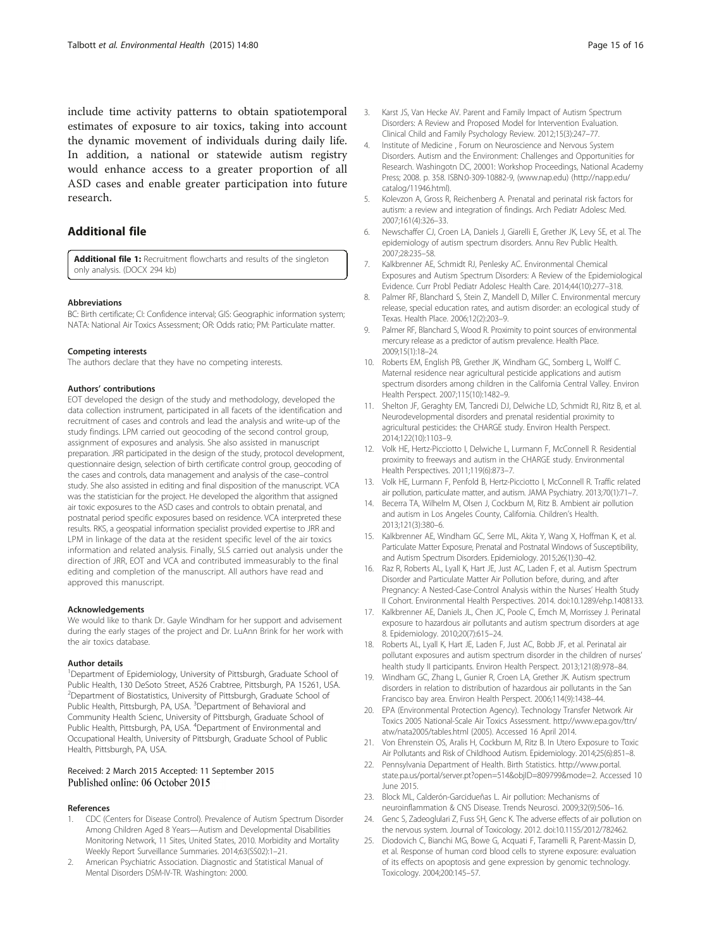<span id="page-14-0"></span>include time activity patterns to obtain spatiotemporal estimates of exposure to air toxics, taking into account the dynamic movement of individuals during daily life. In addition, a national or statewide autism registry would enhance access to a greater proportion of all ASD cases and enable greater participation into future research.

# Additional file

[Additional file 1:](http://www.ehjournal.net/content/supplementary/s12940-015-0064-1-s1.docx) Recruitment flowcharts and results of the singleton only analysis. (DOCX 294 kb)

#### Abbreviations

BC: Birth certificate; CI: Confidence interval; GIS: Geographic information system; NATA: National Air Toxics Assessment; OR: Odds ratio; PM: Particulate matter.

#### Competing interests

The authors declare that they have no competing interests.

#### Authors' contributions

EOT developed the design of the study and methodology, developed the data collection instrument, participated in all facets of the identification and recruitment of cases and controls and lead the analysis and write-up of the study findings. LPM carried out geocoding of the second control group, assignment of exposures and analysis. She also assisted in manuscript preparation. JRR participated in the design of the study, protocol development, questionnaire design, selection of birth certificate control group, geocoding of the cases and controls, data management and analysis of the case–control study. She also assisted in editing and final disposition of the manuscript. VCA was the statistician for the project. He developed the algorithm that assigned air toxic exposures to the ASD cases and controls to obtain prenatal, and postnatal period specific exposures based on residence. VCA interpreted these results. RKS, a geospatial information specialist provided expertise to JRR and LPM in linkage of the data at the resident specific level of the air toxics information and related analysis. Finally, SLS carried out analysis under the direction of JRR, EOT and VCA and contributed immeasurably to the final editing and completion of the manuscript. All authors have read and approved this manuscript.

#### Acknowledgements

We would like to thank Dr. Gayle Windham for her support and advisement during the early stages of the project and Dr. LuAnn Brink for her work with the air toxics database.

#### Author details

<sup>1</sup>Department of Epidemiology, University of Pittsburgh, Graduate School of Public Health, 130 DeSoto Street, A526 Crabtree, Pittsburgh, PA 15261, USA. 2 Department of Biostatistics, University of Pittsburgh, Graduate School of Public Health, Pittsburgh, PA, USA. <sup>3</sup> Department of Behavioral and Community Health Scienc, University of Pittsburgh, Graduate School of Public Health, Pittsburgh, PA, USA. <sup>4</sup>Department of Environmental and Occupational Health, University of Pittsburgh, Graduate School of Public Health, Pittsburgh, PA, USA.

# Received: 2 March 2015 Accepted: 11 September 2015<br>Published online: 06 October 2015

#### References

- 1. CDC (Centers for Disease Control). Prevalence of Autism Spectrum Disorder Among Children Aged 8 Years—Autism and Developmental Disabilities Monitoring Network, 11 Sites, United States, 2010. Morbidity and Mortality Weekly Report Surveillance Summaries. 2014;63(SS02):1–21.
- 2. American Psychiatric Association. Diagnostic and Statistical Manual of Mental Disorders DSM-IV-TR. Washington: 2000.
- Karst JS, Van Hecke AV. Parent and Family Impact of Autism Spectrum Disorders: A Review and Proposed Model for Intervention Evaluation. Clinical Child and Family Psychology Review. 2012;15(3):247–77.
- 4. Institute of Medicine , Forum on Neuroscience and Nervous System Disorders. Autism and the Environment: Challenges and Opportunities for Research. Washingotn DC, 20001: Workshop Proceedings, National Academy Press; 2008. p. 358. ISBN:0-309-10882-9, ([www.nap.edu](http://www.nap.edu)) ([http://napp.edu/](http://napp.edu/catalog/11946.html) [catalog/11946.html](http://napp.edu/catalog/11946.html)).
- 5. Kolevzon A, Gross R, Reichenberg A. Prenatal and perinatal risk factors for autism: a review and integration of findings. Arch Pediatr Adolesc Med. 2007;161(4):326–33.
- 6. Newschaffer CJ, Croen LA, Daniels J, Giarelli E, Grether JK, Levy SE, et al. The epidemiology of autism spectrum disorders. Annu Rev Public Health. 2007;28:235–58.
- 7. Kalkbrenner AE, Schmidt RJ, Penlesky AC. Environmental Chemical Exposures and Autism Spectrum Disorders: A Review of the Epidemiological Evidence. Curr Probl Pediatr Adolesc Health Care. 2014;44(10):277–318.
- Palmer RF, Blanchard S, Stein Z, Mandell D, Miller C. Environmental mercury release, special education rates, and autism disorder: an ecological study of Texas. Health Place. 2006;12(2):203–9.
- 9. Palmer RF, Blanchard S, Wood R. Proximity to point sources of environmental mercury release as a predictor of autism prevalence. Health Place. 2009;15(1):18–24.
- 10. Roberts EM, English PB, Grether JK, Windham GC, Somberg L, Wolff C. Maternal residence near agricultural pesticide applications and autism spectrum disorders among children in the California Central Valley. Environ Health Perspect. 2007;115(10):1482–9.
- 11. Shelton JF, Geraghty EM, Tancredi DJ, Delwiche LD, Schmidt RJ, Ritz B, et al. Neurodevelopmental disorders and prenatal residential proximity to agricultural pesticides: the CHARGE study. Environ Health Perspect. 2014;122(10):1103–9.
- 12. Volk HE, Hertz-Picciotto I, Delwiche L, Lurmann F, McConnell R. Residential proximity to freeways and autism in the CHARGE study. Environmental Health Perspectives. 2011;119(6):873–7.
- 13. Volk HE, Lurmann F, Penfold B, Hertz-Picciotto I, McConnell R. Traffic related air pollution, particulate matter, and autism. JAMA Psychiatry. 2013;70(1):71–7.
- 14. Becerra TA, Wilhelm M, Olsen J, Cockburn M, Ritz B. Ambient air pollution and autism in Los Angeles County, California. Children's Health. 2013;121(3):380–6.
- 15. Kalkbrenner AE, Windham GC, Serre ML, Akita Y, Wang X, Hoffman K, et al. Particulate Matter Exposure, Prenatal and Postnatal Windows of Susceptibility, and Autism Spectrum Disorders. Epidemiology. 2015;26(1):30–42.
- 16. Raz R, Roberts AL, Lyall K, Hart JE, Just AC, Laden F, et al. Autism Spectrum Disorder and Particulate Matter Air Pollution before, during, and after Pregnancy: A Nested-Case-Control Analysis within the Nurses' Health Study II Cohort. Environmental Health Perspectives. 2014. doi[:10.1289/ehp.1408133](http://dx.doi.org/10.1289/ehp.1408133).
- 17. Kalkbrenner AE, Daniels JL, Chen JC, Poole C, Emch M, Morrissey J. Perinatal exposure to hazardous air pollutants and autism spectrum disorders at age 8. Epidemiology. 2010;20(7):615–24.
- 18. Roberts AL, Lyall K, Hart JE, Laden F, Just AC, Bobb JF, et al. Perinatal air pollutant exposures and autism spectrum disorder in the children of nurses' health study II participants. Environ Health Perspect. 2013;121(8):978–84.
- 19. Windham GC, Zhang L, Gunier R, Croen LA, Grether JK. Autism spectrum disorders in relation to distribution of hazardous air pollutants in the San Francisco bay area. Environ Health Perspect. 2006;114(9):1438–44.
- 20. EPA (Environmental Protection Agency). Technology Transfer Network Air Toxics 2005 National-Scale Air Toxics Assessment. [http://www.epa.gov/ttn/](http://www.epa.gov/ttn/atw/nata2005/tables.html) [atw/nata2005/tables.html](http://www.epa.gov/ttn/atw/nata2005/tables.html) (2005). Accessed 16 April 2014.
- 21. Von Ehrenstein OS, Aralis H, Cockburn M, Ritz B. In Utero Exposure to Toxic Air Pollutants and Risk of Childhood Autism. Epidemiology. 2014;25(6):851–8.
- 22. Pennsylvania Department of Health. Birth Statistics. [http://www.portal.](http://www.portal.state.pa.us/portal/server.pt?open=514&objID=809799&mode=2) [state.pa.us/portal/server.pt?open=514&objID=809799&mode=2.](http://www.portal.state.pa.us/portal/server.pt?open=514&objID=809799&mode=2) Accessed 10 June 2015.
- 23. Block ML, Calderón-Garcidueñas L. Air pollution: Mechanisms of neuroinflammation & CNS Disease. Trends Neurosci. 2009;32(9):506–16.
- 24. Genc S, Zadeoglulari Z, Fuss SH, Genc K. The adverse effects of air pollution on the nervous system. Journal of Toxicology. 2012. doi[:10.1155/2012/782462.](http://dx.doi.org/10.1155/2012/782462)
- 25. Diodovich C, Bianchi MG, Bowe G, Acquati F, Taramelli R, Parent-Massin D, et al. Response of human cord blood cells to styrene exposure: evaluation of its effects on apoptosis and gene expression by genomic technology. Toxicology. 2004;200:145–57.